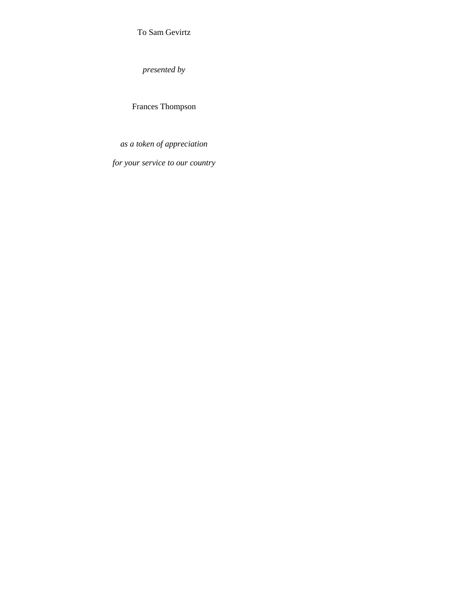To Sam Gevirtz

*presented by*

Frances Thompson

*as a token of appreciation*

*for your service to our country*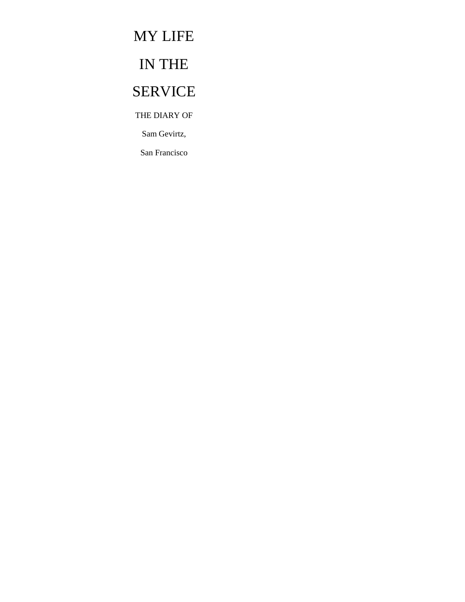# MY LIFE

# IN THE

# SERVICE

THE DIARY OF

Sam Gevirtz,

San Francisco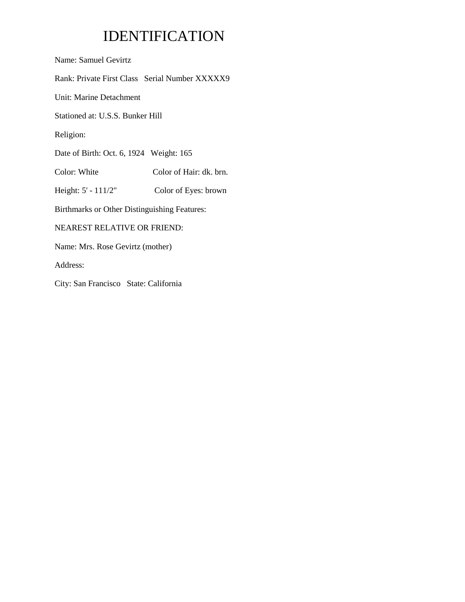# IDENTIFICATION

Name: Samuel Gevirtz

Rank: Private First Class Serial Number XXXXX9

Unit: Marine Detachment

Stationed at: U.S.S. Bunker Hill

Religion:

Date of Birth: Oct. 6, 1924 Weight: 165

Color: White Color of Hair: dk. brn.

Height: 5' - 111/2" Color of Eyes: brown

Birthmarks or Other Distinguishing Features:

## NEAREST RELATIVE OR FRIEND:

Name: Mrs. Rose Gevirtz (mother)

Address:

City: San Francisco State: California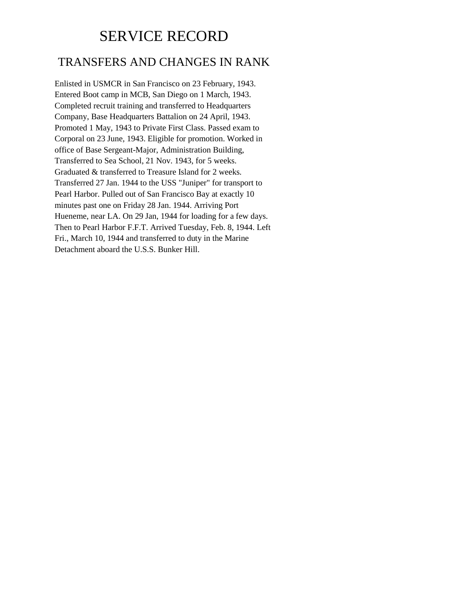# SERVICE RECORD

## TRANSFERS AND CHANGES IN RANK

Enlisted in USMCR in San Francisco on 23 February, 1943. Entered Boot camp in MCB, San Diego on 1 March, 1943. Completed recruit training and transferred to Headquarters Company, Base Headquarters Battalion on 24 April, 1943. Promoted 1 May, 1943 to Private First Class. Passed exam to Corporal on 23 June, 1943. Eligible for promotion. Worked in office of Base Sergeant-Major, Administration Building, Transferred to Sea School, 21 Nov. 1943, for 5 weeks. Graduated & transferred to Treasure Island for 2 weeks. Transferred 27 Jan. 1944 to the USS "Juniper" for transport to Pearl Harbor. Pulled out of San Francisco Bay at exactly 10 minutes past one on Friday 28 Jan. 1944. Arriving Port Hueneme, near LA. On 29 Jan, 1944 for loading for a few days. Then to Pearl Harbor F.F.T. Arrived Tuesday, Feb. 8, 1944. Left Fri., March 10, 1944 and transferred to duty in the Marine Detachment aboard the U.S.S. Bunker Hill.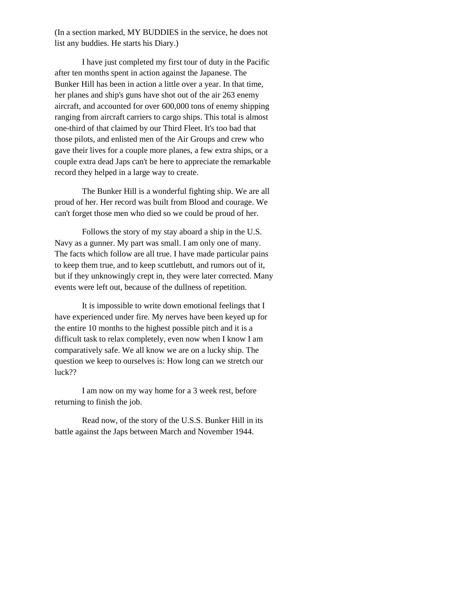(In a section marked, MY BUDDIES in the service, he does not list any buddies. He starts his Diary.)

I have just completed my first tour of duty in the Pacific after ten months spent in action against the Japanese. The Bunker Hill has been in action a little over a year. In that time, her planes and ship's guns have shot out of the air 263 enemy aircraft, and accounted for over 600,000 tons of enemy shipping ranging from aircraft carriers to cargo ships. This total is almost one-third of that claimed by our Third Fleet. It's too bad that those pilots, and enlisted men of the Air Groups and crew who gave their lives for a couple more planes, a few extra ships, or a couple extra dead Japs can't be here to appreciate the remarkable record they helped in a large way to create.

The Bunker Hill is a wonderful fighting ship. We are all proud of her. Her record was built from Blood and courage. We can't forget those men who died so we could be proud of her.

Follows the story of my stay aboard a ship in the U.S. Navy as a gunner. My part was small. I am only one of many. The facts which follow are all true. I have made particular pains to keep them true, and to keep scuttlebutt, and rumors out of it, but if they unknowingly crept in, they were later corrected. Many events were left out, because of the dullness of repetition.

It is impossible to write down emotional feelings that I have experienced under fire. My nerves have been keyed up for the entire 10 months to the highest possible pitch and it is a difficult task to relax completely, even now when I know I am comparatively safe. We all know we are on a lucky ship. The question we keep to ourselves is: How long can we stretch our luck??

I am now on my way home for a 3 week rest, before returning to finish the job.

Read now, of the story of the U.S.S. Bunker Hill in its battle against the Japs between March and November 1944.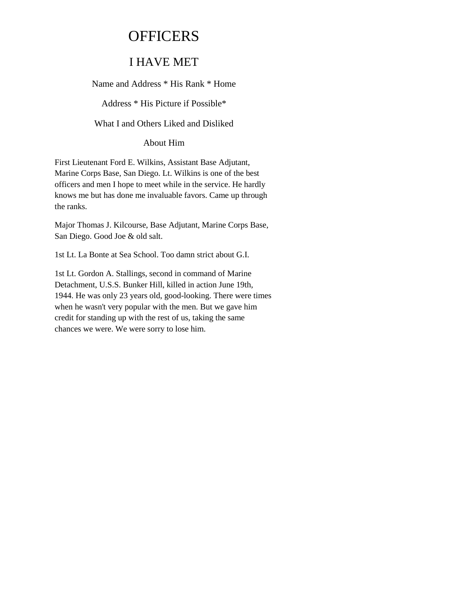# **OFFICERS**

## I HAVE MET

Name and Address \* His Rank \* Home

Address \* His Picture if Possible\*

What I and Others Liked and Disliked

About Him

First Lieutenant Ford E. Wilkins, Assistant Base Adjutant, Marine Corps Base, San Diego. Lt. Wilkins is one of the best officers and men I hope to meet while in the service. He hardly knows me but has done me invaluable favors. Came up through the ranks.

Major Thomas J. Kilcourse, Base Adjutant, Marine Corps Base, San Diego. Good Joe & old salt.

1st Lt. La Bonte at Sea School. Too damn strict about G.I.

1st Lt. Gordon A. Stallings, second in command of Marine Detachment, U.S.S. Bunker Hill, killed in action June 19th, 1944. He was only 23 years old, good-looking. There were times when he wasn't very popular with the men. But we gave him credit for standing up with the rest of us, taking the same chances we were. We were sorry to lose him.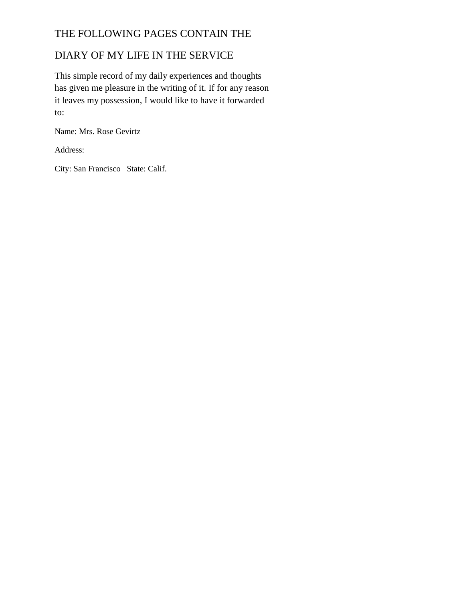## THE FOLLOWING PAGES CONTAIN THE

## DIARY OF MY LIFE IN THE SERVICE

This simple record of my daily experiences and thoughts has given me pleasure in the writing of it. If for any reason it leaves my possession, I would like to have it forwarded to:

Name: Mrs. Rose Gevirtz

Address:

City: San Francisco State: Calif.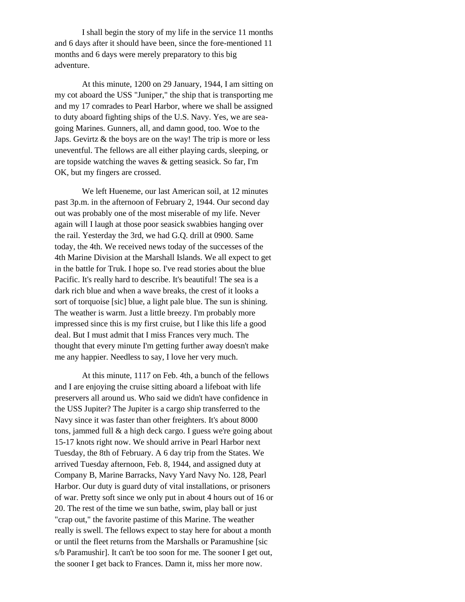I shall begin the story of my life in the service 11 months and 6 days after it should have been, since the fore-mentioned 11 months and 6 days were merely preparatory to this big adventure.

At this minute, 1200 on 29 January, 1944, I am sitting on my cot aboard the USS "Juniper," the ship that is transporting me and my 17 comrades to Pearl Harbor, where we shall be assigned to duty aboard fighting ships of the U.S. Navy. Yes, we are seagoing Marines. Gunners, all, and damn good, too. Woe to the Japs. Gevirtz & the boys are on the way! The trip is more or less uneventful. The fellows are all either playing cards, sleeping, or are topside watching the waves & getting seasick. So far, I'm OK, but my fingers are crossed.

We left Hueneme, our last American soil, at 12 minutes past 3p.m. in the afternoon of February 2, 1944. Our second day out was probably one of the most miserable of my life. Never again will I laugh at those poor seasick swabbies hanging over the rail. Yesterday the 3rd, we had G.Q. drill at 0900. Same today, the 4th. We received news today of the successes of the 4th Marine Division at the Marshall Islands. We all expect to get in the battle for Truk. I hope so. I've read stories about the blue Pacific. It's really hard to describe. It's beautiful! The sea is a dark rich blue and when a wave breaks, the crest of it looks a sort of torquoise [sic] blue, a light pale blue. The sun is shining. The weather is warm. Just a little breezy. I'm probably more impressed since this is my first cruise, but I like this life a good deal. But I must admit that I miss Frances very much. The thought that every minute I'm getting further away doesn't make me any happier. Needless to say, I love her very much.

At this minute, 1117 on Feb. 4th, a bunch of the fellows and I are enjoying the cruise sitting aboard a lifeboat with life preservers all around us. Who said we didn't have confidence in the USS Jupiter? The Jupiter is a cargo ship transferred to the Navy since it was faster than other freighters. It's about 8000 tons, jammed full & a high deck cargo. I guess we're going about 15-17 knots right now. We should arrive in Pearl Harbor next Tuesday, the 8th of February. A 6 day trip from the States. We arrived Tuesday afternoon, Feb. 8, 1944, and assigned duty at Company B, Marine Barracks, Navy Yard Navy No. 128, Pearl Harbor. Our duty is guard duty of vital installations, or prisoners of war. Pretty soft since we only put in about 4 hours out of 16 or 20. The rest of the time we sun bathe, swim, play ball or just "crap out," the favorite pastime of this Marine. The weather really is swell. The fellows expect to stay here for about a month or until the fleet returns from the Marshalls or Paramushine [sic s/b Paramushir]. It can't be too soon for me. The sooner I get out, the sooner I get back to Frances. Damn it, miss her more now.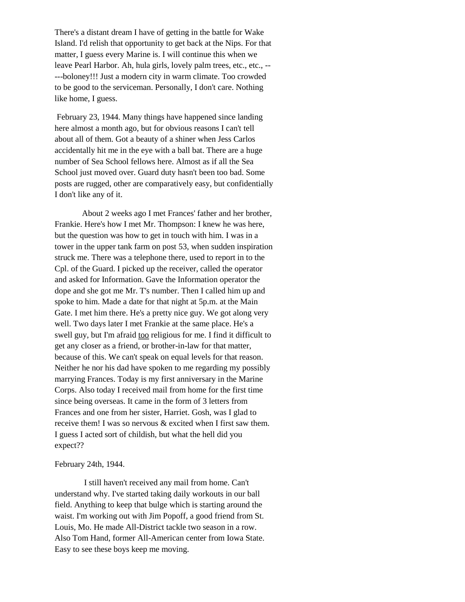There's a distant dream I have of getting in the battle for Wake Island. I'd relish that opportunity to get back at the Nips. For that matter, I guess every Marine is. I will continue this when we leave Pearl Harbor. Ah, hula girls, lovely palm trees, etc., etc., -- ---boloney!!! Just a modern city in warm climate. Too crowded to be good to the serviceman. Personally, I don't care. Nothing like home, I guess.

February 23, 1944. Many things have happened since landing here almost a month ago, but for obvious reasons I can't tell about all of them. Got a beauty of a shiner when Jess Carlos accidentally hit me in the eye with a ball bat. There are a huge number of Sea School fellows here. Almost as if all the Sea School just moved over. Guard duty hasn't been too bad. Some posts are rugged, other are comparatively easy, but confidentially I don't like any of it.

About 2 weeks ago I met Frances' father and her brother, Frankie. Here's how I met Mr. Thompson: I knew he was here, but the question was how to get in touch with him. I was in a tower in the upper tank farm on post 53, when sudden inspiration struck me. There was a telephone there, used to report in to the Cpl. of the Guard. I picked up the receiver, called the operator and asked for Information. Gave the Information operator the dope and she got me Mr. T's number. Then I called him up and spoke to him. Made a date for that night at 5p.m. at the Main Gate. I met him there. He's a pretty nice guy. We got along very well. Two days later I met Frankie at the same place. He's a swell guy, but I'm afraid too religious for me. I find it difficult to get any closer as a friend, or brother-in-law for that matter, because of this. We can't speak on equal levels for that reason. Neither he nor his dad have spoken to me regarding my possibly marrying Frances. Today is my first anniversary in the Marine Corps. Also today I received mail from home for the first time since being overseas. It came in the form of 3 letters from Frances and one from her sister, Harriet. Gosh, was I glad to receive them! I was so nervous & excited when I first saw them. I guess I acted sort of childish, but what the hell did you expect??

#### February 24th, 1944.

I still haven't received any mail from home. Can't understand why. I've started taking daily workouts in our ball field. Anything to keep that bulge which is starting around the waist. I'm working out with Jim Popoff, a good friend from St. Louis, Mo. He made All-District tackle two season in a row. Also Tom Hand, former All-American center from Iowa State. Easy to see these boys keep me moving.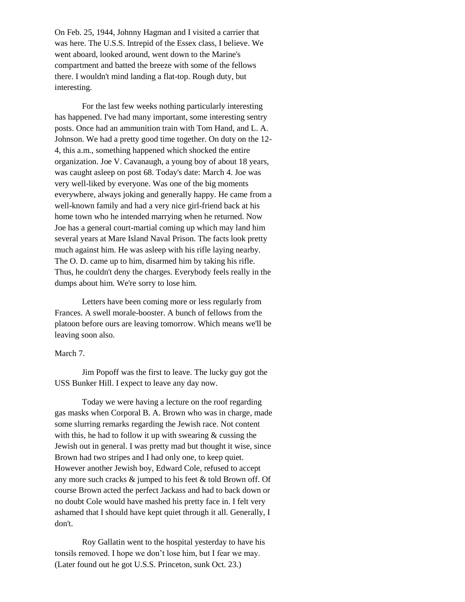On Feb. 25, 1944, Johnny Hagman and I visited a carrier that was here. The U.S.S. Intrepid of the Essex class, I believe. We went aboard, looked around, went down to the Marine's compartment and batted the breeze with some of the fellows there. I wouldn't mind landing a flat-top. Rough duty, but interesting.

For the last few weeks nothing particularly interesting has happened. I've had many important, some interesting sentry posts. Once had an ammunition train with Tom Hand, and L. A. Johnson. We had a pretty good time together. On duty on the 12- 4, this a.m., something happened which shocked the entire organization. Joe V. Cavanaugh, a young boy of about 18 years, was caught asleep on post 68. Today's date: March 4. Joe was very well-liked by everyone. Was one of the big moments everywhere, always joking and generally happy. He came from a well-known family and had a very nice girl-friend back at his home town who he intended marrying when he returned. Now Joe has a general court-martial coming up which may land him several years at Mare Island Naval Prison. The facts look pretty much against him. He was asleep with his rifle laying nearby. The O. D. came up to him, disarmed him by taking his rifle. Thus, he couldn't deny the charges. Everybody feels really in the dumps about him. We're sorry to lose him.

Letters have been coming more or less regularly from Frances. A swell morale-booster. A bunch of fellows from the platoon before ours are leaving tomorrow. Which means we'll be leaving soon also.

#### March 7.

Jim Popoff was the first to leave. The lucky guy got the USS Bunker Hill. I expect to leave any day now.

Today we were having a lecture on the roof regarding gas masks when Corporal B. A. Brown who was in charge, made some slurring remarks regarding the Jewish race. Not content with this, he had to follow it up with swearing  $\&$  cussing the Jewish out in general. I was pretty mad but thought it wise, since Brown had two stripes and I had only one, to keep quiet. However another Jewish boy, Edward Cole, refused to accept any more such cracks & jumped to his feet & told Brown off. Of course Brown acted the perfect Jackass and had to back down or no doubt Cole would have mashed his pretty face in. I felt very ashamed that I should have kept quiet through it all. Generally, I don't.

Roy Gallatin went to the hospital yesterday to have his tonsils removed. I hope we don't lose him, but I fear we may. (Later found out he got U.S.S. Princeton, sunk Oct. 23.)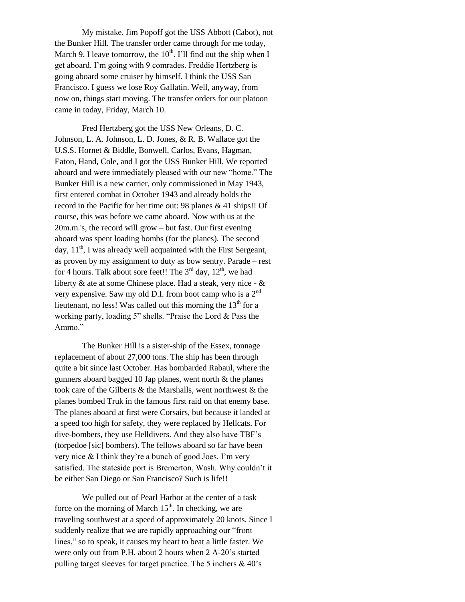My mistake. Jim Popoff got the USS Abbott (Cabot), not the Bunker Hill. The transfer order came through for me today, March 9. I leave tomorrow, the  $10^{th}$ . I'll find out the ship when I get aboard. I'm going with 9 comrades. Freddie Hertzberg is going aboard some cruiser by himself. I think the USS San Francisco. I guess we lose Roy Gallatin. Well, anyway, from now on, things start moving. The transfer orders for our platoon came in today, Friday, March 10.

Fred Hertzberg got the USS New Orleans, D. C. Johnson, L. A. Johnson, L. D. Jones, & R. B. Wallace got the U.S.S. Hornet & Biddle, Bonwell, Carlos, Evans, Hagman, Eaton, Hand, Cole, and I got the USS Bunker Hill. We reported aboard and were immediately pleased with our new "home." The Bunker Hill is a new carrier, only commissioned in May 1943, first entered combat in October 1943 and already holds the record in the Pacific for her time out: 98 planes & 41 ships!! Of course, this was before we came aboard. Now with us at the 20m.m.'s, the record will grow – but fast. Our first evening aboard was spent loading bombs (for the planes). The second day,  $11<sup>th</sup>$ , I was already well acquainted with the First Sergeant, as proven by my assignment to duty as bow sentry. Parade – rest for 4 hours. Talk about sore feet!! The  $3<sup>rd</sup>$  day,  $12<sup>th</sup>$ , we had liberty & ate at some Chinese place. Had a steak, very nice - & very expensive. Saw my old D.I. from boot camp who is a 2nd lieutenant, no less! Was called out this morning the  $13<sup>th</sup>$  for a working party, loading 5" shells. "Praise the Lord & Pass the Ammo."

The Bunker Hill is a sister-ship of the Essex, tonnage replacement of about 27,000 tons. The ship has been through quite a bit since last October. Has bombarded Rabaul, where the gunners aboard bagged 10 Jap planes, went north  $\&$  the planes took care of the Gilberts & the Marshalls, went northwest & the planes bombed Truk in the famous first raid on that enemy base. The planes aboard at first were Corsairs, but because it landed at a speed too high for safety, they were replaced by Hellcats. For dive-bombers, they use Helldivers. And they also have TBF's (torpedoe [sic] bombers). The fellows aboard so far have been very nice & I think they're a bunch of good Joes. I'm very satisfied. The stateside port is Bremerton, Wash. Why couldn't it be either San Diego or San Francisco? Such is life!!

We pulled out of Pearl Harbor at the center of a task force on the morning of March  $15<sup>th</sup>$ . In checking, we are traveling southwest at a speed of approximately 20 knots. Since I suddenly realize that we are rapidly approaching our "front lines," so to speak, it causes my heart to beat a little faster. We were only out from P.H. about 2 hours when 2 A-20's started pulling target sleeves for target practice. The 5 inchers & 40's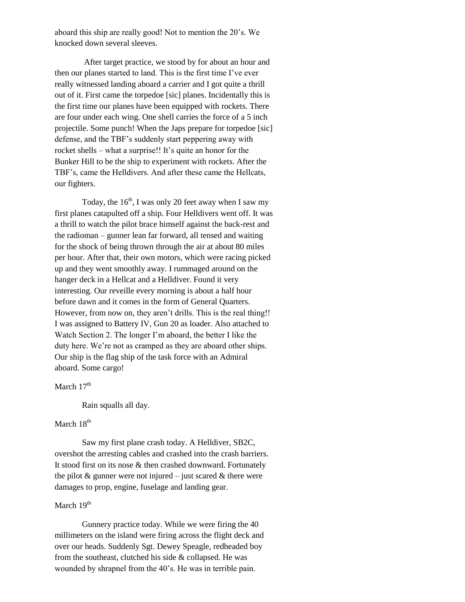aboard this ship are really good! Not to mention the 20's. We knocked down several sleeves.

After target practice, we stood by for about an hour and then our planes started to land. This is the first time I've ever really witnessed landing aboard a carrier and I got quite a thrill out of it. First came the torpedoe [sic] planes. Incidentally this is the first time our planes have been equipped with rockets. There are four under each wing. One shell carries the force of a 5 inch projectile. Some punch! When the Japs prepare for torpedoe [sic] defense, and the TBF's suddenly start peppering away with rocket shells – what a surprise!! It's quite an honor for the Bunker Hill to be the ship to experiment with rockets. After the TBF's, came the Helldivers. And after these came the Hellcats, our fighters.

Today, the  $16<sup>th</sup>$ , I was only 20 feet away when I saw my first planes catapulted off a ship. Four Helldivers went off. It was a thrill to watch the pilot brace himself against the back-rest and the radioman – gunner lean far forward, all tensed and waiting for the shock of being thrown through the air at about 80 miles per hour. After that, their own motors, which were racing picked up and they went smoothly away. I rummaged around on the hanger deck in a Hellcat and a Helldiver. Found it very interesting. Our reveille every morning is about a half hour before dawn and it comes in the form of General Quarters. However, from now on, they aren't drills. This is the real thing!! I was assigned to Battery IV, Gun 20 as loader. Also attached to Watch Section 2. The longer I'm aboard, the better I like the duty here. We're not as cramped as they are aboard other ships. Our ship is the flag ship of the task force with an Admiral aboard. Some cargo!

March  $17<sup>th</sup>$ 

Rain squalls all day.

## March 18<sup>th</sup>

Saw my first plane crash today. A Helldiver, SB2C, overshot the arresting cables and crashed into the crash barriers. It stood first on its nose & then crashed downward. Fortunately the pilot  $\&$  gunner were not injured – just scared  $\&$  there were damages to prop, engine, fuselage and landing gear.

## March 19<sup>th</sup>

Gunnery practice today. While we were firing the 40 millimeters on the island were firing across the flight deck and over our heads. Suddenly Sgt. Dewey Speagle, redheaded boy from the southeast, clutched his side & collapsed. He was wounded by shrapnel from the 40's. He was in terrible pain.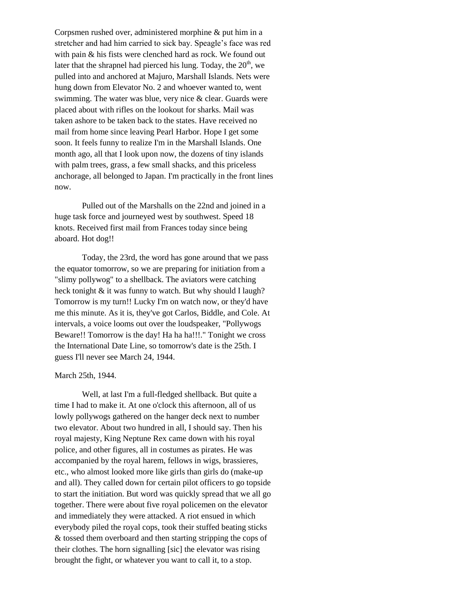Corpsmen rushed over, administered morphine & put him in a stretcher and had him carried to sick bay. Speagle's face was red with pain & his fists were clenched hard as rock. We found out later that the shrapnel had pierced his lung. Today, the  $20<sup>th</sup>$ , we pulled into and anchored at Majuro, Marshall Islands. Nets were hung down from Elevator No. 2 and whoever wanted to, went swimming. The water was blue, very nice & clear. Guards were placed about with rifles on the lookout for sharks. Mail was taken ashore to be taken back to the states. Have received no mail from home since leaving Pearl Harbor. Hope I get some soon. It feels funny to realize I'm in the Marshall Islands. One month ago, all that I look upon now, the dozens of tiny islands with palm trees, grass, a few small shacks, and this priceless anchorage, all belonged to Japan. I'm practically in the front lines now.

Pulled out of the Marshalls on the 22nd and joined in a huge task force and journeyed west by southwest. Speed 18 knots. Received first mail from Frances today since being aboard. Hot dog!!

Today, the 23rd, the word has gone around that we pass the equator tomorrow, so we are preparing for initiation from a "slimy pollywog" to a shellback. The aviators were catching heck tonight  $&$  it was funny to watch. But why should I laugh? Tomorrow is my turn!! Lucky I'm on watch now, or they'd have me this minute. As it is, they've got Carlos, Biddle, and Cole. At intervals, a voice looms out over the loudspeaker, "Pollywogs Beware!! Tomorrow is the day! Ha ha ha!!!." Tonight we cross the International Date Line, so tomorrow's date is the 25th. I guess I'll never see March 24, 1944.

#### March 25th, 1944.

Well, at last I'm a full-fledged shellback. But quite a time I had to make it. At one o'clock this afternoon, all of us lowly pollywogs gathered on the hanger deck next to number two elevator. About two hundred in all, I should say. Then his royal majesty, King Neptune Rex came down with his royal police, and other figures, all in costumes as pirates. He was accompanied by the royal harem, fellows in wigs, brassieres, etc., who almost looked more like girls than girls do (make-up and all). They called down for certain pilot officers to go topside to start the initiation. But word was quickly spread that we all go together. There were about five royal policemen on the elevator and immediately they were attacked. A riot ensued in which everybody piled the royal cops, took their stuffed beating sticks & tossed them overboard and then starting stripping the cops of their clothes. The horn signalling [sic] the elevator was rising brought the fight, or whatever you want to call it, to a stop.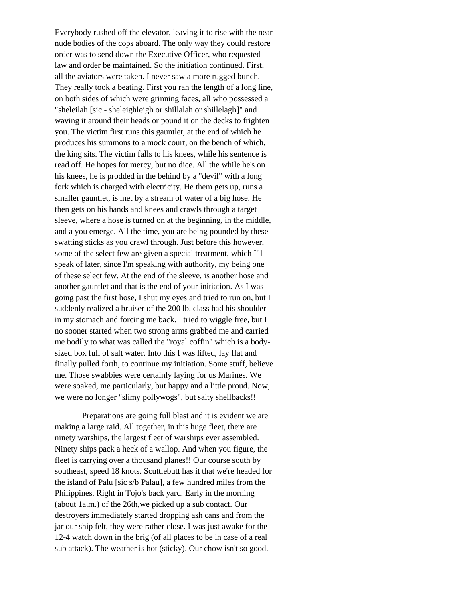Everybody rushed off the elevator, leaving it to rise with the near nude bodies of the cops aboard. The only way they could restore order was to send down the Executive Officer, who requested law and order be maintained. So the initiation continued. First, all the aviators were taken. I never saw a more rugged bunch. They really took a beating. First you ran the length of a long line, on both sides of which were grinning faces, all who possessed a "sheleilah [sic - sheleighleigh or shillalah or shillelagh]" and waving it around their heads or pound it on the decks to frighten you. The victim first runs this gauntlet, at the end of which he produces his summons to a mock court, on the bench of which, the king sits. The victim falls to his knees, while his sentence is read off. He hopes for mercy, but no dice. All the while he's on his knees, he is prodded in the behind by a "devil" with a long fork which is charged with electricity. He them gets up, runs a smaller gauntlet, is met by a stream of water of a big hose. He then gets on his hands and knees and crawls through a target sleeve, where a hose is turned on at the beginning, in the middle, and a you emerge. All the time, you are being pounded by these swatting sticks as you crawl through. Just before this however, some of the select few are given a special treatment, which I'll speak of later, since I'm speaking with authority, my being one of these select few. At the end of the sleeve, is another hose and another gauntlet and that is the end of your initiation. As I was going past the first hose, I shut my eyes and tried to run on, but I suddenly realized a bruiser of the 200 lb. class had his shoulder in my stomach and forcing me back. I tried to wiggle free, but I no sooner started when two strong arms grabbed me and carried me bodily to what was called the "royal coffin" which is a bodysized box full of salt water. Into this I was lifted, lay flat and finally pulled forth, to continue my initiation. Some stuff, believe me. Those swabbies were certainly laying for us Marines. We were soaked, me particularly, but happy and a little proud. Now, we were no longer "slimy pollywogs", but salty shellbacks!!

Preparations are going full blast and it is evident we are making a large raid. All together, in this huge fleet, there are ninety warships, the largest fleet of warships ever assembled. Ninety ships pack a heck of a wallop. And when you figure, the fleet is carrying over a thousand planes!! Our course south by southeast, speed 18 knots. Scuttlebutt has it that we're headed for the island of Palu [sic s/b Palau], a few hundred miles from the Philippines. Right in Tojo's back yard. Early in the morning (about 1a.m.) of the 26th,we picked up a sub contact. Our destroyers immediately started dropping ash cans and from the jar our ship felt, they were rather close. I was just awake for the 12-4 watch down in the brig (of all places to be in case of a real sub attack). The weather is hot (sticky). Our chow isn't so good.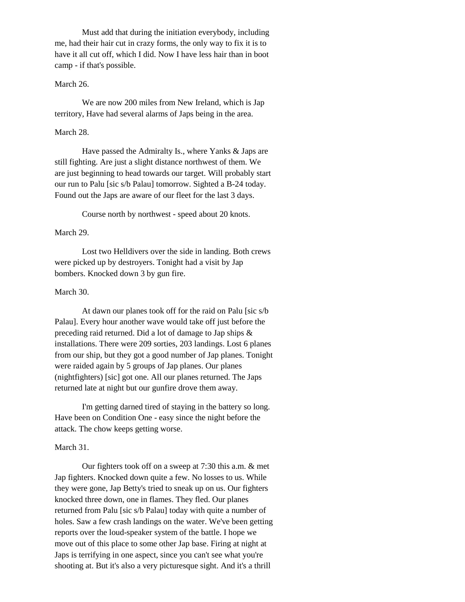Must add that during the initiation everybody, including me, had their hair cut in crazy forms, the only way to fix it is to have it all cut off, which I did. Now I have less hair than in boot camp - if that's possible.

## March 26.

We are now 200 miles from New Ireland, which is Jap territory, Have had several alarms of Japs being in the area.

#### March 28.

Have passed the Admiralty Is., where Yanks & Japs are still fighting. Are just a slight distance northwest of them. We are just beginning to head towards our target. Will probably start our run to Palu [sic s/b Palau] tomorrow. Sighted a B-24 today. Found out the Japs are aware of our fleet for the last 3 days.

Course north by northwest - speed about 20 knots.

#### March 29.

Lost two Helldivers over the side in landing. Both crews were picked up by destroyers. Tonight had a visit by Jap bombers. Knocked down 3 by gun fire.

#### March 30.

At dawn our planes took off for the raid on Palu [sic s/b Palau]. Every hour another wave would take off just before the preceding raid returned. Did a lot of damage to Jap ships & installations. There were 209 sorties, 203 landings. Lost 6 planes from our ship, but they got a good number of Jap planes. Tonight were raided again by 5 groups of Jap planes. Our planes (nightfighters) [sic] got one. All our planes returned. The Japs returned late at night but our gunfire drove them away.

I'm getting darned tired of staying in the battery so long. Have been on Condition One - easy since the night before the attack. The chow keeps getting worse.

#### March 31.

Our fighters took off on a sweep at 7:30 this a.m. & met Jap fighters. Knocked down quite a few. No losses to us. While they were gone, Jap Betty's tried to sneak up on us. Our fighters knocked three down, one in flames. They fled. Our planes returned from Palu [sic s/b Palau] today with quite a number of holes. Saw a few crash landings on the water. We've been getting reports over the loud-speaker system of the battle. I hope we move out of this place to some other Jap base. Firing at night at Japs is terrifying in one aspect, since you can't see what you're shooting at. But it's also a very picturesque sight. And it's a thrill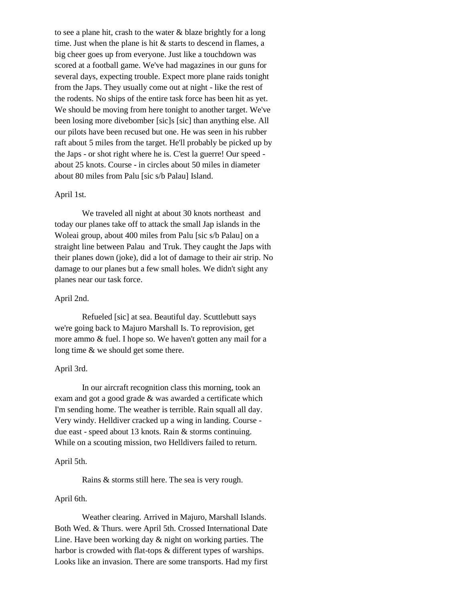to see a plane hit, crash to the water & blaze brightly for a long time. Just when the plane is hit & starts to descend in flames, a big cheer goes up from everyone. Just like a touchdown was scored at a football game. We've had magazines in our guns for several days, expecting trouble. Expect more plane raids tonight from the Japs. They usually come out at night - like the rest of the rodents. No ships of the entire task force has been hit as yet. We should be moving from here tonight to another target. We've been losing more divebomber [sic]s [sic] than anything else. All our pilots have been recused but one. He was seen in his rubber raft about 5 miles from the target. He'll probably be picked up by the Japs - or shot right where he is. C'est la guerre! Our speed about 25 knots. Course - in circles about 50 miles in diameter about 80 miles from Palu [sic s/b Palau] Island.

#### April 1st.

We traveled all night at about 30 knots northeast and today our planes take off to attack the small Jap islands in the Woleai group, about 400 miles from Palu [sic s/b Palau] on a straight line between Palau and Truk. They caught the Japs with their planes down (joke), did a lot of damage to their air strip. No damage to our planes but a few small holes. We didn't sight any planes near our task force.

#### April 2nd.

Refueled [sic] at sea. Beautiful day. Scuttlebutt says we're going back to Majuro Marshall Is. To reprovision, get more ammo & fuel. I hope so. We haven't gotten any mail for a long time & we should get some there.

#### April 3rd.

In our aircraft recognition class this morning, took an exam and got a good grade & was awarded a certificate which I'm sending home. The weather is terrible. Rain squall all day. Very windy. Helldiver cracked up a wing in landing. Course due east - speed about 13 knots. Rain & storms continuing. While on a scouting mission, two Helldivers failed to return.

#### April 5th.

Rains & storms still here. The sea is very rough.

#### April 6th.

Weather clearing. Arrived in Majuro, Marshall Islands. Both Wed. & Thurs. were April 5th. Crossed International Date Line. Have been working day & night on working parties. The harbor is crowded with flat-tops & different types of warships. Looks like an invasion. There are some transports. Had my first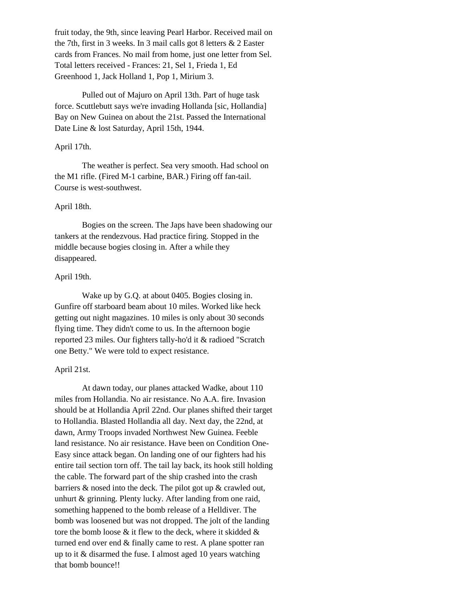fruit today, the 9th, since leaving Pearl Harbor. Received mail on the 7th, first in 3 weeks. In 3 mail calls got 8 letters & 2 Easter cards from Frances. No mail from home, just one letter from Sel. Total letters received - Frances: 21, Sel 1, Frieda 1, Ed Greenhood 1, Jack Holland 1, Pop 1, Mirium 3.

Pulled out of Majuro on April 13th. Part of huge task force. Scuttlebutt says we're invading Hollanda [sic, Hollandia] Bay on New Guinea on about the 21st. Passed the International Date Line & lost Saturday, April 15th, 1944.

#### April 17th.

The weather is perfect. Sea very smooth. Had school on the M1 rifle. (Fired M-1 carbine, BAR.) Firing off fan-tail. Course is west-southwest.

#### April 18th.

Bogies on the screen. The Japs have been shadowing our tankers at the rendezvous. Had practice firing. Stopped in the middle because bogies closing in. After a while they disappeared.

#### April 19th.

Wake up by G.Q. at about 0405. Bogies closing in. Gunfire off starboard beam about 10 miles. Worked like heck getting out night magazines. 10 miles is only about 30 seconds flying time. They didn't come to us. In the afternoon bogie reported 23 miles. Our fighters tally-ho'd it & radioed "Scratch one Betty." We were told to expect resistance.

#### April 21st.

At dawn today, our planes attacked Wadke, about 110 miles from Hollandia. No air resistance. No A.A. fire. Invasion should be at Hollandia April 22nd. Our planes shifted their target to Hollandia. Blasted Hollandia all day. Next day, the 22nd, at dawn, Army Troops invaded Northwest New Guinea. Feeble land resistance. No air resistance. Have been on Condition One-Easy since attack began. On landing one of our fighters had his entire tail section torn off. The tail lay back, its hook still holding the cable. The forward part of the ship crashed into the crash barriers & nosed into the deck. The pilot got up & crawled out, unhurt & grinning. Plenty lucky. After landing from one raid, something happened to the bomb release of a Helldiver. The bomb was loosened but was not dropped. The jolt of the landing tore the bomb loose  $\&$  it flew to the deck, where it skidded  $\&$ turned end over end & finally came to rest. A plane spotter ran up to it & disarmed the fuse. I almost aged 10 years watching that bomb bounce!!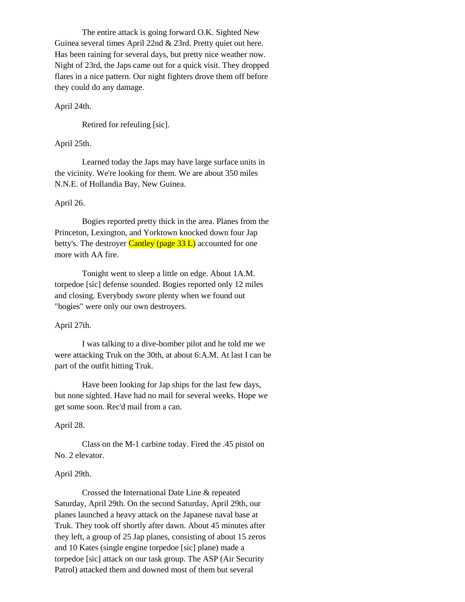The entire attack is going forward O.K. Sighted New Guinea several times April 22nd & 23rd. Pretty quiet out here. Has been raining for several days, but pretty nice weather now. Night of 23rd, the Japs came out for a quick visit. They dropped flares in a nice pattern. Our night fighters drove them off before they could do any damage.

#### April 24th.

Retired for refeuling [sic].

#### April 25th.

Learned today the Japs may have large surface units in the vicinity. We're looking for them. We are about 350 miles N.N.E. of Hollandia Bay, New Guinea.

#### April 26.

Bogies reported pretty thick in the area. Planes from the Princeton, Lexington, and Yorktown knocked down four Jap betty's. The destroyer Cantley (page  $33 L$ ) accounted for one more with AA fire.

Tonight went to sleep a little on edge. About 1A.M. torpedoe [sic] defense sounded. Bogies reported only 12 miles and closing. Everybody swore plenty when we found out "bogies" were only our own destroyers.

#### April 27th.

I was talking to a dive-bomber pilot and he told me we were attacking Truk on the 30th, at about 6:A.M. At last I can be part of the outfit hitting Truk.

Have been looking for Jap ships for the last few days, but none sighted. Have had no mail for several weeks. Hope we get some soon. Rec'd mail from a can.

#### April 28.

Class on the M-1 carbine today. Fired the .45 pistol on No. 2 elevator.

#### April 29th.

Crossed the International Date Line & repeated Saturday, April 29th. On the second Saturday, April 29th, our planes launched a heavy attack on the Japanese naval base at Truk. They took off shortly after dawn. About 45 minutes after they left, a group of 25 Jap planes, consisting of about 15 zeros and 10 Kates (single engine torpedoe [sic] plane) made a torpedoe [sic] attack on our task group. The ASP (Air Security Patrol) attacked them and downed most of them but several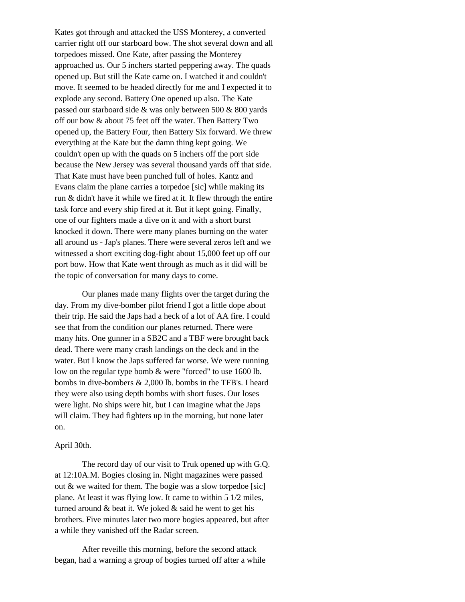Kates got through and attacked the USS Monterey, a converted carrier right off our starboard bow. The shot several down and all torpedoes missed. One Kate, after passing the Monterey approached us. Our 5 inchers started peppering away. The quads opened up. But still the Kate came on. I watched it and couldn't move. It seemed to be headed directly for me and I expected it to explode any second. Battery One opened up also. The Kate passed our starboard side & was only between 500 & 800 yards off our bow & about 75 feet off the water. Then Battery Two opened up, the Battery Four, then Battery Six forward. We threw everything at the Kate but the damn thing kept going. We couldn't open up with the quads on 5 inchers off the port side because the New Jersey was several thousand yards off that side. That Kate must have been punched full of holes. Kantz and Evans claim the plane carries a torpedoe [sic] while making its run & didn't have it while we fired at it. It flew through the entire task force and every ship fired at it. But it kept going. Finally, one of our fighters made a dive on it and with a short burst knocked it down. There were many planes burning on the water all around us - Jap's planes. There were several zeros left and we witnessed a short exciting dog-fight about 15,000 feet up off our port bow. How that Kate went through as much as it did will be the topic of conversation for many days to come.

Our planes made many flights over the target during the day. From my dive-bomber pilot friend I got a little dope about their trip. He said the Japs had a heck of a lot of AA fire. I could see that from the condition our planes returned. There were many hits. One gunner in a SB2C and a TBF were brought back dead. There were many crash landings on the deck and in the water. But I know the Japs suffered far worse. We were running low on the regular type bomb & were "forced" to use 1600 lb. bombs in dive-bombers & 2,000 lb. bombs in the TFB's. I heard they were also using depth bombs with short fuses. Our loses were light. No ships were hit, but I can imagine what the Japs will claim. They had fighters up in the morning, but none later on.

#### April 30th.

The record day of our visit to Truk opened up with G.Q. at 12:10A.M. Bogies closing in. Night magazines were passed out & we waited for them. The bogie was a slow torpedoe [sic] plane. At least it was flying low. It came to within 5 1/2 miles, turned around & beat it. We joked & said he went to get his brothers. Five minutes later two more bogies appeared, but after a while they vanished off the Radar screen.

After reveille this morning, before the second attack began, had a warning a group of bogies turned off after a while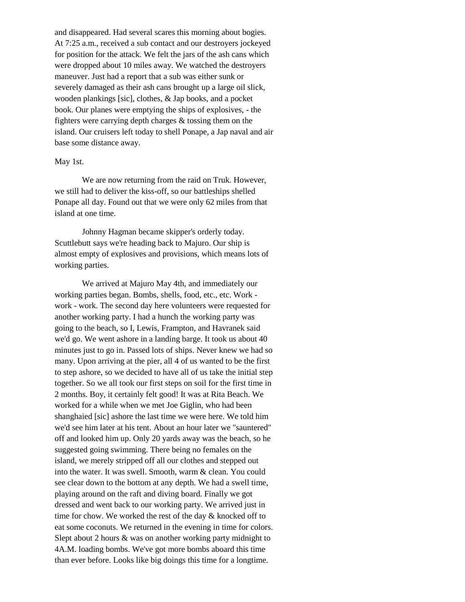and disappeared. Had several scares this morning about bogies. At 7:25 a.m., received a sub contact and our destroyers jockeyed for position for the attack. We felt the jars of the ash cans which were dropped about 10 miles away. We watched the destroyers maneuver. Just had a report that a sub was either sunk or severely damaged as their ash cans brought up a large oil slick, wooden plankings [sic], clothes, & Jap books, and a pocket book. Our planes were emptying the ships of explosives, - the fighters were carrying depth charges & tossing them on the island. Our cruisers left today to shell Ponape, a Jap naval and air base some distance away.

#### May 1st.

We are now returning from the raid on Truk. However, we still had to deliver the kiss-off, so our battleships shelled Ponape all day. Found out that we were only 62 miles from that island at one time.

Johnny Hagman became skipper's orderly today. Scuttlebutt says we're heading back to Majuro. Our ship is almost empty of explosives and provisions, which means lots of working parties.

We arrived at Majuro May 4th, and immediately our working parties began. Bombs, shells, food, etc., etc. Work work - work. The second day here volunteers were requested for another working party. I had a hunch the working party was going to the beach, so I, Lewis, Frampton, and Havranek said we'd go. We went ashore in a landing barge. It took us about 40 minutes just to go in. Passed lots of ships. Never knew we had so many. Upon arriving at the pier, all 4 of us wanted to be the first to step ashore, so we decided to have all of us take the initial step together. So we all took our first steps on soil for the first time in 2 months. Boy, it certainly felt good! It was at Rita Beach. We worked for a while when we met Joe Giglin, who had been shanghaied [sic] ashore the last time we were here. We told him we'd see him later at his tent. About an hour later we "sauntered" off and looked him up. Only 20 yards away was the beach, so he suggested going swimming. There being no females on the island, we merely stripped off all our clothes and stepped out into the water. It was swell. Smooth, warm & clean. You could see clear down to the bottom at any depth. We had a swell time, playing around on the raft and diving board. Finally we got dressed and went back to our working party. We arrived just in time for chow. We worked the rest of the day & knocked off to eat some coconuts. We returned in the evening in time for colors. Slept about 2 hours & was on another working party midnight to 4A.M. loading bombs. We've got more bombs aboard this time than ever before. Looks like big doings this time for a longtime.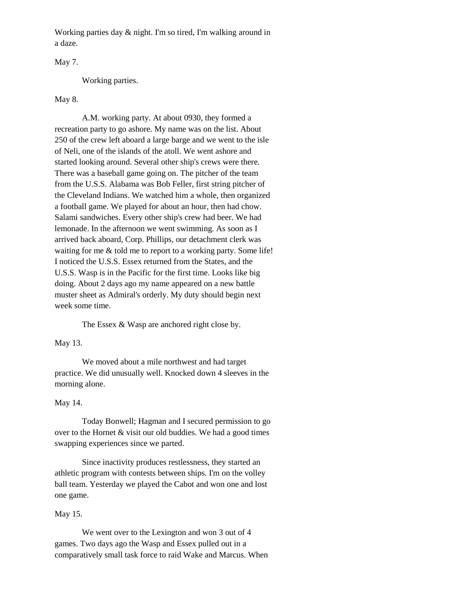Working parties day & night. I'm so tired, I'm walking around in a daze.

May 7.

Working parties.

#### May 8.

A.M. working party. At about 0930, they formed a recreation party to go ashore. My name was on the list. About 250 of the crew left aboard a large barge and we went to the isle of Neli, one of the islands of the atoll. We went ashore and started looking around. Several other ship's crews were there. There was a baseball game going on. The pitcher of the team from the U.S.S. Alabama was Bob Feller, first string pitcher of the Cleveland Indians. We watched him a whole, then organized a football game. We played for about an hour, then had chow. Salami sandwiches. Every other ship's crew had beer. We had lemonade. In the afternoon we went swimming. As soon as I arrived back aboard, Corp. Phillips, our detachment clerk was waiting for me & told me to report to a working party. Some life! I noticed the U.S.S. Essex returned from the States, and the U.S.S. Wasp is in the Pacific for the first time. Looks like big doing. About 2 days ago my name appeared on a new battle muster sheet as Admiral's orderly. My duty should begin next week some time.

The Essex & Wasp are anchored right close by.

## May 13.

We moved about a mile northwest and had target practice. We did unusually well. Knocked down 4 sleeves in the morning alone.

#### May 14.

Today Bonwell; Hagman and I secured permission to go over to the Hornet & visit our old buddies. We had a good times swapping experiences since we parted.

Since inactivity produces restlessness, they started an athletic program with contests between ships. I'm on the volley ball team. Yesterday we played the Cabot and won one and lost one game.

#### May 15.

We went over to the Lexington and won 3 out of 4 games. Two days ago the Wasp and Essex pulled out in a comparatively small task force to raid Wake and Marcus. When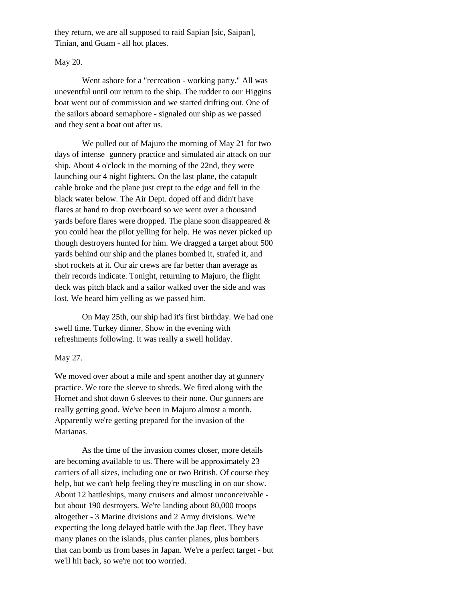they return, we are all supposed to raid Sapian [sic, Saipan], Tinian, and Guam - all hot places.

#### May 20.

Went ashore for a "recreation - working party." All was uneventful until our return to the ship. The rudder to our Higgins boat went out of commission and we started drifting out. One of the sailors aboard semaphore - signaled our ship as we passed and they sent a boat out after us.

We pulled out of Majuro the morning of May 21 for two days of intense gunnery practice and simulated air attack on our ship. About 4 o'clock in the morning of the 22nd, they were launching our 4 night fighters. On the last plane, the catapult cable broke and the plane just crept to the edge and fell in the black water below. The Air Dept. doped off and didn't have flares at hand to drop overboard so we went over a thousand yards before flares were dropped. The plane soon disappeared & you could hear the pilot yelling for help. He was never picked up though destroyers hunted for him. We dragged a target about 500 yards behind our ship and the planes bombed it, strafed it, and shot rockets at it. Our air crews are far better than average as their records indicate. Tonight, returning to Majuro, the flight deck was pitch black and a sailor walked over the side and was lost. We heard him yelling as we passed him.

On May 25th, our ship had it's first birthday. We had one swell time. Turkey dinner. Show in the evening with refreshments following. It was really a swell holiday.

#### May 27.

We moved over about a mile and spent another day at gunnery practice. We tore the sleeve to shreds. We fired along with the Hornet and shot down 6 sleeves to their none. Our gunners are really getting good. We've been in Majuro almost a month. Apparently we're getting prepared for the invasion of the Marianas.

As the time of the invasion comes closer, more details are becoming available to us. There will be approximately 23 carriers of all sizes, including one or two British. Of course they help, but we can't help feeling they're muscling in on our show. About 12 battleships, many cruisers and almost unconceivable but about 190 destroyers. We're landing about 80,000 troops altogether - 3 Marine divisions and 2 Army divisions. We're expecting the long delayed battle with the Jap fleet. They have many planes on the islands, plus carrier planes, plus bombers that can bomb us from bases in Japan. We're a perfect target - but we'll hit back, so we're not too worried.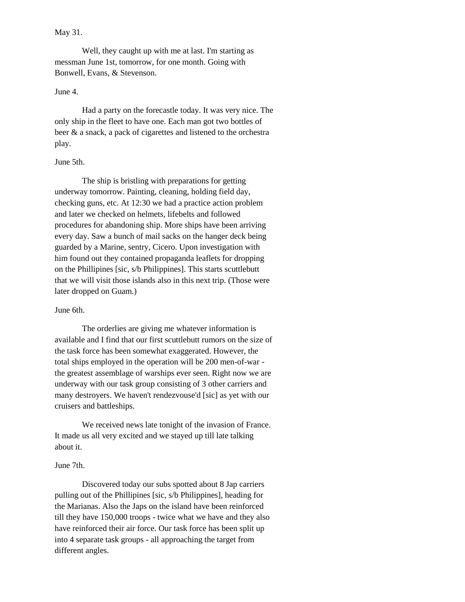#### May 31.

Well, they caught up with me at last. I'm starting as messman June 1st, tomorrow, for one month. Going with Bonwell, Evans, & Stevenson.

## June 4.

Had a party on the forecastle today. It was very nice. The only ship in the fleet to have one. Each man got two bottles of beer & a snack, a pack of cigarettes and listened to the orchestra play.

#### June 5th.

The ship is bristling with preparations for getting underway tomorrow. Painting, cleaning, holding field day, checking guns, etc. At 12:30 we had a practice action problem and later we checked on helmets, lifebelts and followed procedures for abandoning ship. More ships have been arriving every day. Saw a bunch of mail sacks on the hanger deck being guarded by a Marine, sentry, Cicero. Upon investigation with him found out they contained propaganda leaflets for dropping on the Phillipines [sic, s/b Philippines]. This starts scuttlebutt that we will visit those islands also in this next trip. (Those were later dropped on Guam.)

#### June 6th.

The orderlies are giving me whatever information is available and I find that our first scuttlebutt rumors on the size of the task force has been somewhat exaggerated. However, the total ships employed in the operation will be 200 men-of-war the greatest assemblage of warships ever seen. Right now we are underway with our task group consisting of 3 other carriers and many destroyers. We haven't rendezvouse'd [sic] as yet with our cruisers and battleships.

We received news late tonight of the invasion of France. It made us all very excited and we stayed up till late talking about it.

#### June 7th.

Discovered today our subs spotted about 8 Jap carriers pulling out of the Phillipines [sic, s/b Philippines], heading for the Marianas. Also the Japs on the island have been reinforced till they have 150,000 troops - twice what we have and they also have reinforced their air force. Our task force has been split up into 4 separate task groups - all approaching the target from different angles.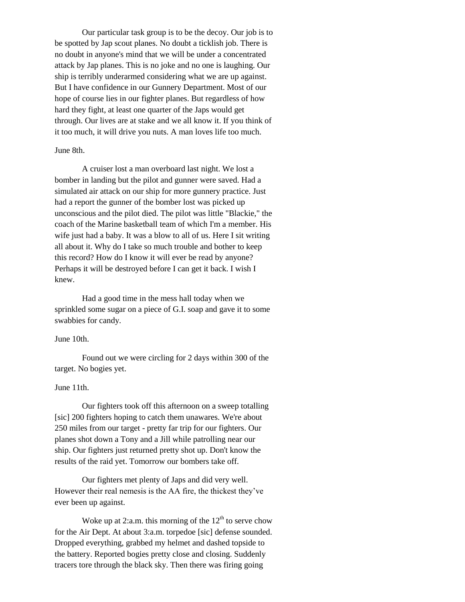Our particular task group is to be the decoy. Our job is to be spotted by Jap scout planes. No doubt a ticklish job. There is no doubt in anyone's mind that we will be under a concentrated attack by Jap planes. This is no joke and no one is laughing. Our ship is terribly underarmed considering what we are up against. But I have confidence in our Gunnery Department. Most of our hope of course lies in our fighter planes. But regardless of how hard they fight, at least one quarter of the Japs would get through. Our lives are at stake and we all know it. If you think of it too much, it will drive you nuts. A man loves life too much.

## June 8th.

A cruiser lost a man overboard last night. We lost a bomber in landing but the pilot and gunner were saved. Had a simulated air attack on our ship for more gunnery practice. Just had a report the gunner of the bomber lost was picked up unconscious and the pilot died. The pilot was little "Blackie," the coach of the Marine basketball team of which I'm a member. His wife just had a baby. It was a blow to all of us. Here I sit writing all about it. Why do I take so much trouble and bother to keep this record? How do I know it will ever be read by anyone? Perhaps it will be destroyed before I can get it back. I wish I knew.

Had a good time in the mess hall today when we sprinkled some sugar on a piece of G.I. soap and gave it to some swabbies for candy.

#### June 10th.

Found out we were circling for 2 days within 300 of the target. No bogies yet.

#### June 11th.

Our fighters took off this afternoon on a sweep totalling [sic] 200 fighters hoping to catch them unawares. We're about 250 miles from our target - pretty far trip for our fighters. Our planes shot down a Tony and a Jill while patrolling near our ship. Our fighters just returned pretty shot up. Don't know the results of the raid yet. Tomorrow our bombers take off.

Our fighters met plenty of Japs and did very well. However their real nemesis is the AA fire, the thickest they've ever been up against.

Woke up at 2:a.m. this morning of the  $12<sup>th</sup>$  to serve chow for the Air Dept. At about 3:a.m. torpedoe [sic] defense sounded. Dropped everything, grabbed my helmet and dashed topside to the battery. Reported bogies pretty close and closing. Suddenly tracers tore through the black sky. Then there was firing going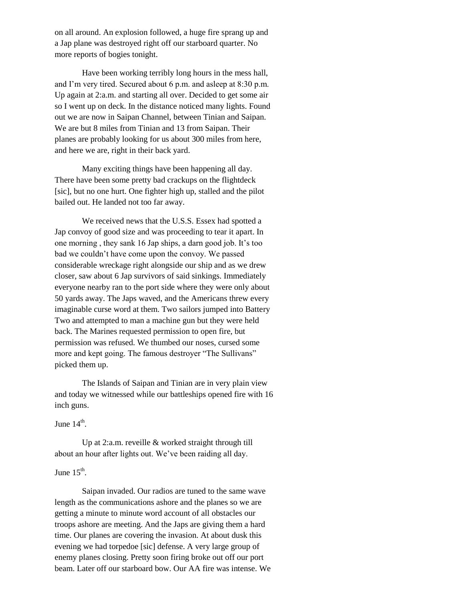on all around. An explosion followed, a huge fire sprang up and a Jap plane was destroyed right off our starboard quarter. No more reports of bogies tonight.

Have been working terribly long hours in the mess hall, and I'm very tired. Secured about 6 p.m. and asleep at 8:30 p.m. Up again at 2:a.m. and starting all over. Decided to get some air so I went up on deck. In the distance noticed many lights. Found out we are now in Saipan Channel, between Tinian and Saipan. We are but 8 miles from Tinian and 13 from Saipan. Their planes are probably looking for us about 300 miles from here, and here we are, right in their back yard.

Many exciting things have been happening all day. There have been some pretty bad crackups on the flightdeck [sic], but no one hurt. One fighter high up, stalled and the pilot bailed out. He landed not too far away.

We received news that the U.S.S. Essex had spotted a Jap convoy of good size and was proceeding to tear it apart. In one morning , they sank 16 Jap ships, a darn good job. It's too bad we couldn't have come upon the convoy. We passed considerable wreckage right alongside our ship and as we drew closer, saw about 6 Jap survivors of said sinkings. Immediately everyone nearby ran to the port side where they were only about 50 yards away. The Japs waved, and the Americans threw every imaginable curse word at them. Two sailors jumped into Battery Two and attempted to man a machine gun but they were held back. The Marines requested permission to open fire, but permission was refused. We thumbed our noses, cursed some more and kept going. The famous destroyer "The Sullivans" picked them up.

The Islands of Saipan and Tinian are in very plain view and today we witnessed while our battleships opened fire with 16 inch guns.

## June  $14^{\text{th}}$ .

Up at 2:a.m. reveille & worked straight through till about an hour after lights out. We've been raiding all day.

## June  $15^{\text{th}}$ .

Saipan invaded. Our radios are tuned to the same wave length as the communications ashore and the planes so we are getting a minute to minute word account of all obstacles our troops ashore are meeting. And the Japs are giving them a hard time. Our planes are covering the invasion. At about dusk this evening we had torpedoe [sic] defense. A very large group of enemy planes closing. Pretty soon firing broke out off our port beam. Later off our starboard bow. Our AA fire was intense. We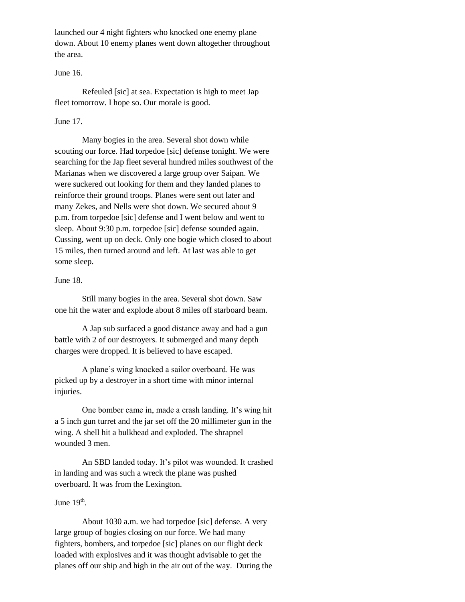launched our 4 night fighters who knocked one enemy plane down. About 10 enemy planes went down altogether throughout the area.

## June 16.

Refeuled [sic] at sea. Expectation is high to meet Jap fleet tomorrow. I hope so. Our morale is good.

#### June 17.

Many bogies in the area. Several shot down while scouting our force. Had torpedoe [sic] defense tonight. We were searching for the Jap fleet several hundred miles southwest of the Marianas when we discovered a large group over Saipan. We were suckered out looking for them and they landed planes to reinforce their ground troops. Planes were sent out later and many Zekes, and Nells were shot down. We secured about 9 p.m. from torpedoe [sic] defense and I went below and went to sleep. About 9:30 p.m. torpedoe [sic] defense sounded again. Cussing, went up on deck. Only one bogie which closed to about 15 miles, then turned around and left. At last was able to get some sleep.

#### June 18.

Still many bogies in the area. Several shot down. Saw one hit the water and explode about 8 miles off starboard beam.

A Jap sub surfaced a good distance away and had a gun battle with 2 of our destroyers. It submerged and many depth charges were dropped. It is believed to have escaped.

A plane's wing knocked a sailor overboard. He was picked up by a destroyer in a short time with minor internal injuries.

One bomber came in, made a crash landing. It's wing hit a 5 inch gun turret and the jar set off the 20 millimeter gun in the wing. A shell hit a bulkhead and exploded. The shrapnel wounded 3 men.

An SBD landed today. It's pilot was wounded. It crashed in landing and was such a wreck the plane was pushed overboard. It was from the Lexington.

## June  $19^{\text{th}}$ .

About 1030 a.m. we had torpedoe [sic] defense. A very large group of bogies closing on our force. We had many fighters, bombers, and torpedoe [sic] planes on our flight deck loaded with explosives and it was thought advisable to get the planes off our ship and high in the air out of the way. During the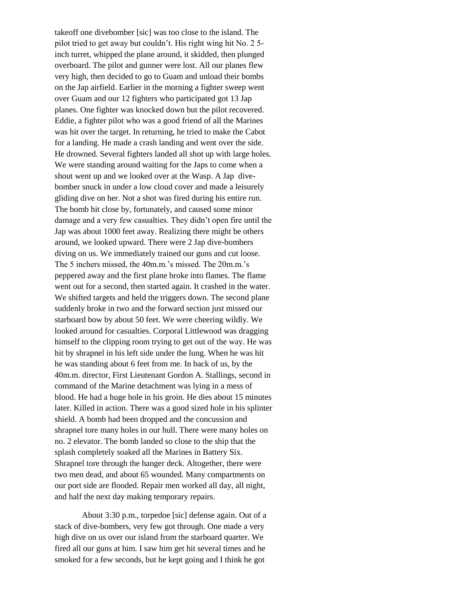takeoff one divebomber [sic] was too close to the island. The pilot tried to get away but couldn't. His right wing hit No. 2 5 inch turret, whipped the plane around, it skidded, then plunged overboard. The pilot and gunner were lost. All our planes flew very high, then decided to go to Guam and unload their bombs on the Jap airfield. Earlier in the morning a fighter sweep went over Guam and our 12 fighters who participated got 13 Jap planes. One fighter was knocked down but the pilot recovered. Eddie, a fighter pilot who was a good friend of all the Marines was hit over the target. In returning, he tried to make the Cabot for a landing. He made a crash landing and went over the side. He drowned. Several fighters landed all shot up with large holes. We were standing around waiting for the Japs to come when a shout went up and we looked over at the Wasp. A Jap divebomber snuck in under a low cloud cover and made a leisurely gliding dive on her. Not a shot was fired during his entire run. The bomb hit close by, fortunately, and caused some minor damage and a very few casualties. They didn't open fire until the Jap was about 1000 feet away. Realizing there might be others around, we looked upward. There were 2 Jap dive-bombers diving on us. We immediately trained our guns and cut loose. The 5 inchers missed, the 40m.m.'s missed. The 20m.m.'s peppered away and the first plane broke into flames. The flame went out for a second, then started again. It crashed in the water. We shifted targets and held the triggers down. The second plane suddenly broke in two and the forward section just missed our starboard bow by about 50 feet. We were cheering wildly. We looked around for casualties. Corporal Littlewood was dragging himself to the clipping room trying to get out of the way. He was hit by shrapnel in his left side under the lung. When he was hit he was standing about 6 feet from me. In back of us, by the 40m.m. director, First Lieutenant Gordon A. Stallings, second in command of the Marine detachment was lying in a mess of blood. He had a huge hole in his groin. He dies about 15 minutes later. Killed in action. There was a good sized hole in his splinter shield. A bomb had been dropped and the concussion and shrapnel tore many holes in our hull. There were many holes on no. 2 elevator. The bomb landed so close to the ship that the splash completely soaked all the Marines in Battery Six. Shrapnel tore through the hanger deck. Altogether, there were two men dead, and about 65 wounded. Many compartments on our port side are flooded. Repair men worked all day, all night, and half the next day making temporary repairs.

About 3:30 p.m., torpedoe [sic] defense again. Out of a stack of dive-bombers, very few got through. One made a very high dive on us over our island from the starboard quarter. We fired all our guns at him. I saw him get hit several times and he smoked for a few seconds, but he kept going and I think he got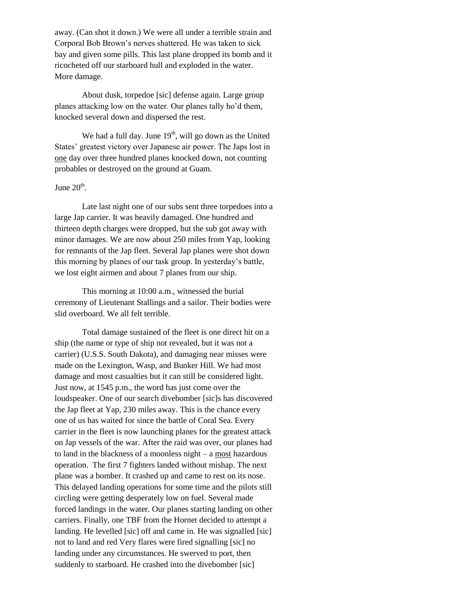away. (Can shot it down.) We were all under a terrible strain and Corporal Bob Brown's nerves shattered. He was taken to sick bay and given some pills. This last plane dropped its bomb and it ricocheted off our starboard hull and exploded in the water. More damage.

About dusk, torpedoe [sic] defense again. Large group planes attacking low on the water. Our planes tally ho'd them, knocked several down and dispersed the rest.

We had a full day. June  $19<sup>th</sup>$ , will go down as the United States' greatest victory over Japanese air power. The Japs lost in one day over three hundred planes knocked down, not counting probables or destroyed on the ground at Guam.

## June  $20<sup>th</sup>$ .

Late last night one of our subs sent three torpedoes into a large Jap carrier. It was heavily damaged. One hundred and thirteen depth charges were dropped, but the sub got away with minor damages. We are now about 250 miles from Yap, looking for remnants of the Jap fleet. Several Jap planes were shot down this morning by planes of our task group. In yesterday's battle, we lost eight airmen and about 7 planes from our ship.

This morning at 10:00 a.m., witnessed the burial ceremony of Lieutenant Stallings and a sailor. Their bodies were slid overboard. We all felt terrible.

Total damage sustained of the fleet is one direct hit on a ship (the name or type of ship not revealed, but it was not a carrier) (U.S.S. South Dakota), and damaging near misses were made on the Lexington, Wasp, and Bunker Hill. We had most damage and most casualties but it can still be considered light. Just now, at 1545 p.m., the word has just come over the loudspeaker. One of our search divebomber [sic]s has discovered the Jap fleet at Yap, 230 miles away. This is the chance every one of us has waited for since the battle of Coral Sea. Every carrier in the fleet is now launching planes for the greatest attack on Jap vessels of the war. After the raid was over, our planes had to land in the blackness of a moonless night – a most hazardous operation. The first 7 fighters landed without mishap. The next plane was a bomber. It crashed up and came to rest on its nose. This delayed landing operations for some time and the pilots still circling were getting desperately low on fuel. Several made forced landings in the water. Our planes starting landing on other carriers. Finally, one TBF from the Hornet decided to attempt a landing. He levelled [sic] off and came in. He was signalled [sic] not to land and red Very flares were fired signalling [sic] no landing under any circumstances. He swerved to port, then suddenly to starboard. He crashed into the divebomber [sic]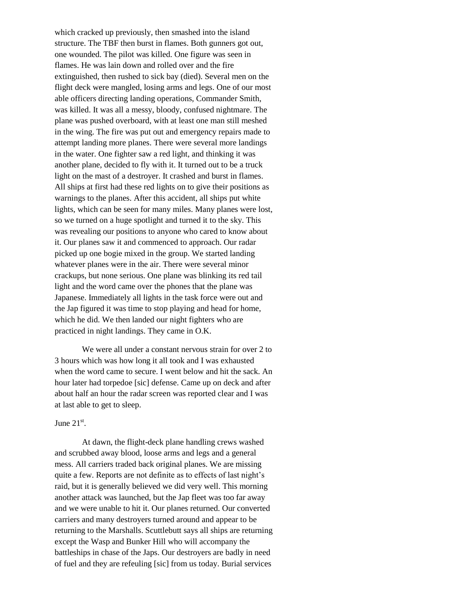which cracked up previously, then smashed into the island structure. The TBF then burst in flames. Both gunners got out, one wounded. The pilot was killed. One figure was seen in flames. He was lain down and rolled over and the fire extinguished, then rushed to sick bay (died). Several men on the flight deck were mangled, losing arms and legs. One of our most able officers directing landing operations, Commander Smith, was killed. It was all a messy, bloody, confused nightmare. The plane was pushed overboard, with at least one man still meshed in the wing. The fire was put out and emergency repairs made to attempt landing more planes. There were several more landings in the water. One fighter saw a red light, and thinking it was another plane, decided to fly with it. It turned out to be a truck light on the mast of a destroyer. It crashed and burst in flames. All ships at first had these red lights on to give their positions as warnings to the planes. After this accident, all ships put white lights, which can be seen for many miles. Many planes were lost, so we turned on a huge spotlight and turned it to the sky. This was revealing our positions to anyone who cared to know about it. Our planes saw it and commenced to approach. Our radar picked up one bogie mixed in the group. We started landing whatever planes were in the air. There were several minor crackups, but none serious. One plane was blinking its red tail light and the word came over the phones that the plane was Japanese. Immediately all lights in the task force were out and the Jap figured it was time to stop playing and head for home, which he did. We then landed our night fighters who are practiced in night landings. They came in O.K.

We were all under a constant nervous strain for over 2 to 3 hours which was how long it all took and I was exhausted when the word came to secure. I went below and hit the sack. An hour later had torpedoe [sic] defense. Came up on deck and after about half an hour the radar screen was reported clear and I was at last able to get to sleep.

## June  $21<sup>st</sup>$ .

At dawn, the flight-deck plane handling crews washed and scrubbed away blood, loose arms and legs and a general mess. All carriers traded back original planes. We are missing quite a few. Reports are not definite as to effects of last night's raid, but it is generally believed we did very well. This morning another attack was launched, but the Jap fleet was too far away and we were unable to hit it. Our planes returned. Our converted carriers and many destroyers turned around and appear to be returning to the Marshalls. Scuttlebutt says all ships are returning except the Wasp and Bunker Hill who will accompany the battleships in chase of the Japs. Our destroyers are badly in need of fuel and they are refeuling [sic] from us today. Burial services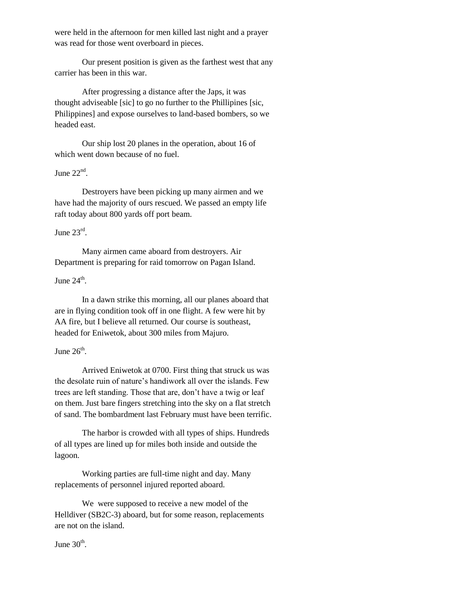were held in the afternoon for men killed last night and a prayer was read for those went overboard in pieces.

Our present position is given as the farthest west that any carrier has been in this war.

After progressing a distance after the Japs, it was thought adviseable [sic] to go no further to the Phillipines [sic, Philippines] and expose ourselves to land-based bombers, so we headed east.

Our ship lost 20 planes in the operation, about 16 of which went down because of no fuel.

## June  $22<sup>nd</sup>$ .

Destroyers have been picking up many airmen and we have had the majority of ours rescued. We passed an empty life raft today about 800 yards off port beam.

## June  $23^{\text{rd}}$ .

Many airmen came aboard from destroyers. Air Department is preparing for raid tomorrow on Pagan Island.

## June  $24^{\text{th}}$ .

In a dawn strike this morning, all our planes aboard that are in flying condition took off in one flight. A few were hit by AA fire, but I believe all returned. Our course is southeast, headed for Eniwetok, about 300 miles from Majuro.

## June  $26^{\text{th}}$ .

Arrived Eniwetok at 0700. First thing that struck us was the desolate ruin of nature's handiwork all over the islands. Few trees are left standing. Those that are, don't have a twig or leaf on them. Just bare fingers stretching into the sky on a flat stretch of sand. The bombardment last February must have been terrific.

The harbor is crowded with all types of ships. Hundreds of all types are lined up for miles both inside and outside the lagoon.

Working parties are full-time night and day. Many replacements of personnel injured reported aboard.

We were supposed to receive a new model of the Helldiver (SB2C-3) aboard, but for some reason, replacements are not on the island.

June  $30<sup>th</sup>$ .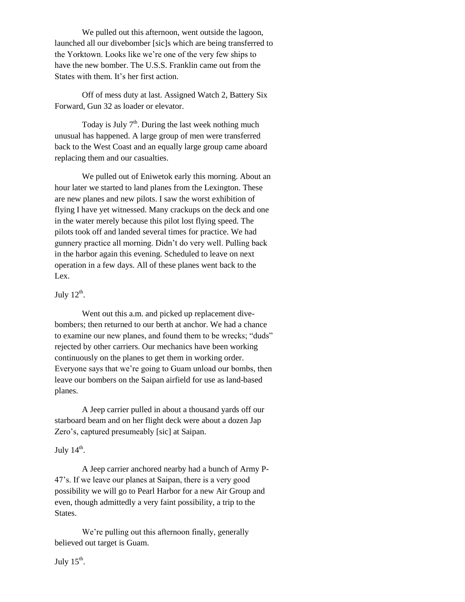We pulled out this afternoon, went outside the lagoon, launched all our divebomber [sic]s which are being transferred to the Yorktown. Looks like we're one of the very few ships to have the new bomber. The U.S.S. Franklin came out from the States with them. It's her first action.

Off of mess duty at last. Assigned Watch 2, Battery Six Forward, Gun 32 as loader or elevator.

Today is July  $7<sup>th</sup>$ . During the last week nothing much unusual has happened. A large group of men were transferred back to the West Coast and an equally large group came aboard replacing them and our casualties.

We pulled out of Eniwetok early this morning. About an hour later we started to land planes from the Lexington. These are new planes and new pilots. I saw the worst exhibition of flying I have yet witnessed. Many crackups on the deck and one in the water merely because this pilot lost flying speed. The pilots took off and landed several times for practice. We had gunnery practice all morning. Didn't do very well. Pulling back in the harbor again this evening. Scheduled to leave on next operation in a few days. All of these planes went back to the Lex.

## July  $12^{\text{th}}$ .

Went out this a.m. and picked up replacement divebombers; then returned to our berth at anchor. We had a chance to examine our new planes, and found them to be wrecks; "duds" rejected by other carriers. Our mechanics have been working continuously on the planes to get them in working order. Everyone says that we're going to Guam unload our bombs, then leave our bombers on the Saipan airfield for use as land-based planes.

A Jeep carrier pulled in about a thousand yards off our starboard beam and on her flight deck were about a dozen Jap Zero's, captured presumeably [sic] at Saipan.

## July  $14^{\text{th}}$ .

A Jeep carrier anchored nearby had a bunch of Army P-47's. If we leave our planes at Saipan, there is a very good possibility we will go to Pearl Harbor for a new Air Group and even, though admittedly a very faint possibility, a trip to the States.

We're pulling out this afternoon finally, generally believed out target is Guam.

July  $15^{\text{th}}$ .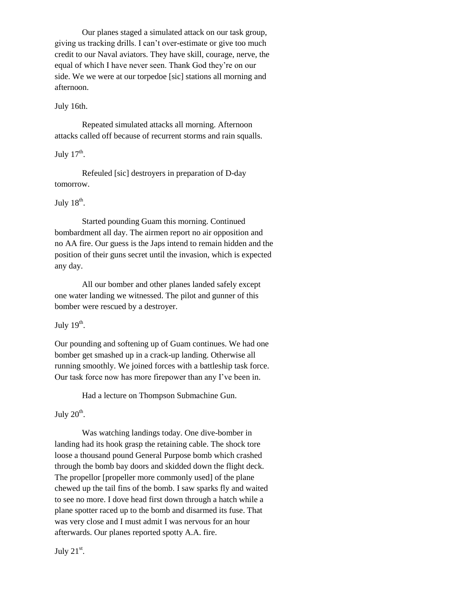Our planes staged a simulated attack on our task group, giving us tracking drills. I can't over-estimate or give too much credit to our Naval aviators. They have skill, courage, nerve, the equal of which I have never seen. Thank God they're on our side. We we were at our torpedoe [sic] stations all morning and afternoon.

## July 16th.

Repeated simulated attacks all morning. Afternoon attacks called off because of recurrent storms and rain squalls.

## July  $17<sup>th</sup>$ .

Refeuled [sic] destroyers in preparation of D-day tomorrow.

## July  $18^{\text{th}}$ .

Started pounding Guam this morning. Continued bombardment all day. The airmen report no air opposition and no AA fire. Our guess is the Japs intend to remain hidden and the position of their guns secret until the invasion, which is expected any day.

All our bomber and other planes landed safely except one water landing we witnessed. The pilot and gunner of this bomber were rescued by a destroyer.

## July  $19^{\text{th}}$ .

Our pounding and softening up of Guam continues. We had one bomber get smashed up in a crack-up landing. Otherwise all running smoothly. We joined forces with a battleship task force. Our task force now has more firepower than any I've been in.

Had a lecture on Thompson Submachine Gun.

## July  $20^{\text{th}}$ .

Was watching landings today. One dive-bomber in landing had its hook grasp the retaining cable. The shock tore loose a thousand pound General Purpose bomb which crashed through the bomb bay doors and skidded down the flight deck. The propellor [propeller more commonly used] of the plane chewed up the tail fins of the bomb. I saw sparks fly and waited to see no more. I dove head first down through a hatch while a plane spotter raced up to the bomb and disarmed its fuse. That was very close and I must admit I was nervous for an hour afterwards. Our planes reported spotty A.A. fire.

July  $21<sup>st</sup>$ .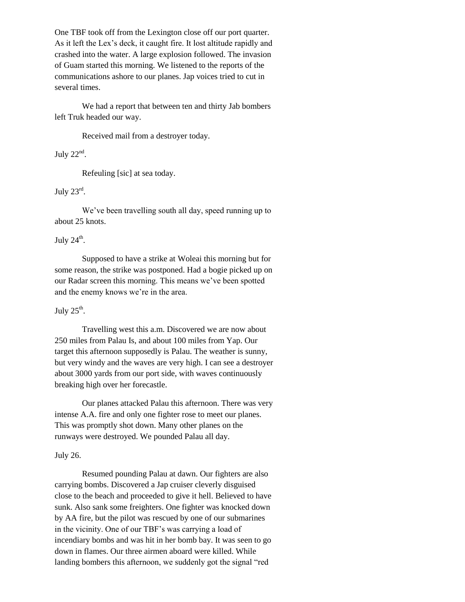One TBF took off from the Lexington close off our port quarter. As it left the Lex's deck, it caught fire. It lost altitude rapidly and crashed into the water. A large explosion followed. The invasion of Guam started this morning. We listened to the reports of the communications ashore to our planes. Jap voices tried to cut in several times.

We had a report that between ten and thirty Jab bombers left Truk headed our way.

Received mail from a destroyer today.

July  $22<sup>nd</sup>$ .

Refeuling [sic] at sea today.

July  $23^{\text{rd}}$ .

We've been travelling south all day, speed running up to about 25 knots.

July  $24^{\text{th}}$ .

Supposed to have a strike at Woleai this morning but for some reason, the strike was postponed. Had a bogie picked up on our Radar screen this morning. This means we've been spotted and the enemy knows we're in the area.

July  $25^{\text{th}}$ .

Travelling west this a.m. Discovered we are now about 250 miles from Palau Is, and about 100 miles from Yap. Our target this afternoon supposedly is Palau. The weather is sunny, but very windy and the waves are very high. I can see a destroyer about 3000 yards from our port side, with waves continuously breaking high over her forecastle.

Our planes attacked Palau this afternoon. There was very intense A.A. fire and only one fighter rose to meet our planes. This was promptly shot down. Many other planes on the runways were destroyed. We pounded Palau all day.

## July 26.

Resumed pounding Palau at dawn. Our fighters are also carrying bombs. Discovered a Jap cruiser cleverly disguised close to the beach and proceeded to give it hell. Believed to have sunk. Also sank some freighters. One fighter was knocked down by AA fire, but the pilot was rescued by one of our submarines in the vicinity. One of our TBF's was carrying a load of incendiary bombs and was hit in her bomb bay. It was seen to go down in flames. Our three airmen aboard were killed. While landing bombers this afternoon, we suddenly got the signal "red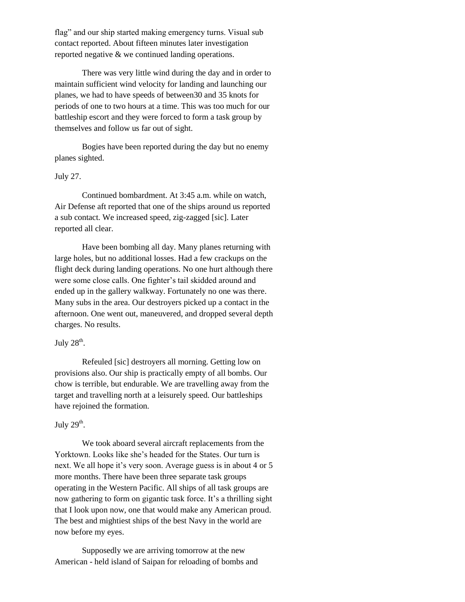flag" and our ship started making emergency turns. Visual sub contact reported. About fifteen minutes later investigation reported negative & we continued landing operations.

There was very little wind during the day and in order to maintain sufficient wind velocity for landing and launching our planes, we had to have speeds of between30 and 35 knots for periods of one to two hours at a time. This was too much for our battleship escort and they were forced to form a task group by themselves and follow us far out of sight.

Bogies have been reported during the day but no enemy planes sighted.

#### July 27.

Continued bombardment. At 3:45 a.m. while on watch, Air Defense aft reported that one of the ships around us reported a sub contact. We increased speed, zig-zagged [sic]. Later reported all clear.

Have been bombing all day. Many planes returning with large holes, but no additional losses. Had a few crackups on the flight deck during landing operations. No one hurt although there were some close calls. One fighter's tail skidded around and ended up in the gallery walkway. Fortunately no one was there. Many subs in the area. Our destroyers picked up a contact in the afternoon. One went out, maneuvered, and dropped several depth charges. No results.

## July  $28^{\text{th}}$ .

Refeuled [sic] destroyers all morning. Getting low on provisions also. Our ship is practically empty of all bombs. Our chow is terrible, but endurable. We are travelling away from the target and travelling north at a leisurely speed. Our battleships have rejoined the formation.

## July  $29<sup>th</sup>$ .

We took aboard several aircraft replacements from the Yorktown. Looks like she's headed for the States. Our turn is next. We all hope it's very soon. Average guess is in about 4 or 5 more months. There have been three separate task groups operating in the Western Pacific. All ships of all task groups are now gathering to form on gigantic task force. It's a thrilling sight that I look upon now, one that would make any American proud. The best and mightiest ships of the best Navy in the world are now before my eyes.

Supposedly we are arriving tomorrow at the new American - held island of Saipan for reloading of bombs and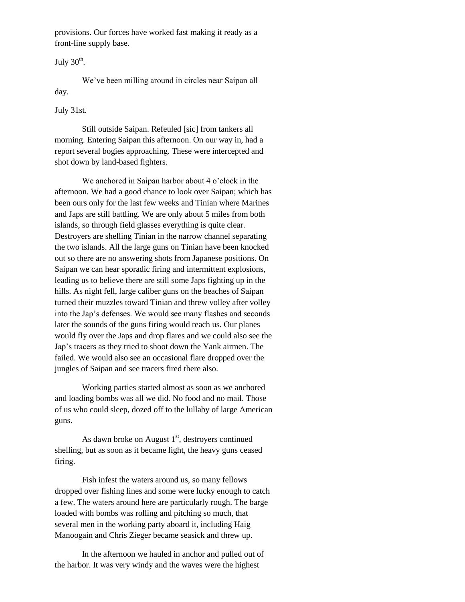provisions. Our forces have worked fast making it ready as a front-line supply base.

July  $30<sup>th</sup>$ .

We've been milling around in circles near Saipan all day.

July 31st.

Still outside Saipan. Refeuled [sic] from tankers all morning. Entering Saipan this afternoon. On our way in, had a report several bogies approaching. These were intercepted and shot down by land-based fighters.

We anchored in Saipan harbor about 4 o'clock in the afternoon. We had a good chance to look over Saipan; which has been ours only for the last few weeks and Tinian where Marines and Japs are still battling. We are only about 5 miles from both islands, so through field glasses everything is quite clear. Destroyers are shelling Tinian in the narrow channel separating the two islands. All the large guns on Tinian have been knocked out so there are no answering shots from Japanese positions. On Saipan we can hear sporadic firing and intermittent explosions, leading us to believe there are still some Japs fighting up in the hills. As night fell, large caliber guns on the beaches of Saipan turned their muzzles toward Tinian and threw volley after volley into the Jap's defenses. We would see many flashes and seconds later the sounds of the guns firing would reach us. Our planes would fly over the Japs and drop flares and we could also see the Jap's tracers as they tried to shoot down the Yank airmen. The failed. We would also see an occasional flare dropped over the jungles of Saipan and see tracers fired there also.

Working parties started almost as soon as we anchored and loading bombs was all we did. No food and no mail. Those of us who could sleep, dozed off to the lullaby of large American guns.

As dawn broke on August  $1<sup>st</sup>$ , destroyers continued shelling, but as soon as it became light, the heavy guns ceased firing.

Fish infest the waters around us, so many fellows dropped over fishing lines and some were lucky enough to catch a few. The waters around here are particularly rough. The barge loaded with bombs was rolling and pitching so much, that several men in the working party aboard it, including Haig Manoogain and Chris Zieger became seasick and threw up.

In the afternoon we hauled in anchor and pulled out of the harbor. It was very windy and the waves were the highest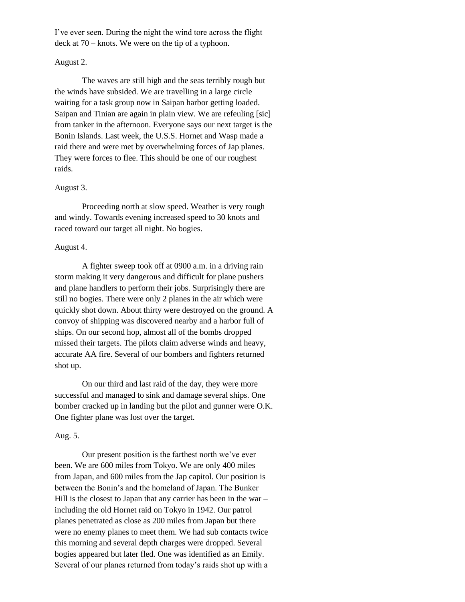I've ever seen. During the night the wind tore across the flight deck at 70 – knots. We were on the tip of a typhoon.

#### August 2.

The waves are still high and the seas terribly rough but the winds have subsided. We are travelling in a large circle waiting for a task group now in Saipan harbor getting loaded. Saipan and Tinian are again in plain view. We are refeuling [sic] from tanker in the afternoon. Everyone says our next target is the Bonin Islands. Last week, the U.S.S. Hornet and Wasp made a raid there and were met by overwhelming forces of Jap planes. They were forces to flee. This should be one of our roughest raids.

## August 3.

Proceeding north at slow speed. Weather is very rough and windy. Towards evening increased speed to 30 knots and raced toward our target all night. No bogies.

### August 4.

A fighter sweep took off at 0900 a.m. in a driving rain storm making it very dangerous and difficult for plane pushers and plane handlers to perform their jobs. Surprisingly there are still no bogies. There were only 2 planes in the air which were quickly shot down. About thirty were destroyed on the ground. A convoy of shipping was discovered nearby and a harbor full of ships. On our second hop, almost all of the bombs dropped missed their targets. The pilots claim adverse winds and heavy, accurate AA fire. Several of our bombers and fighters returned shot up.

On our third and last raid of the day, they were more successful and managed to sink and damage several ships. One bomber cracked up in landing but the pilot and gunner were O.K. One fighter plane was lost over the target.

#### Aug. 5.

Our present position is the farthest north we've ever been. We are 600 miles from Tokyo. We are only 400 miles from Japan, and 600 miles from the Jap capitol. Our position is between the Bonin's and the homeland of Japan. The Bunker Hill is the closest to Japan that any carrier has been in the war  $$ including the old Hornet raid on Tokyo in 1942. Our patrol planes penetrated as close as 200 miles from Japan but there were no enemy planes to meet them. We had sub contacts twice this morning and several depth charges were dropped. Several bogies appeared but later fled. One was identified as an Emily. Several of our planes returned from today's raids shot up with a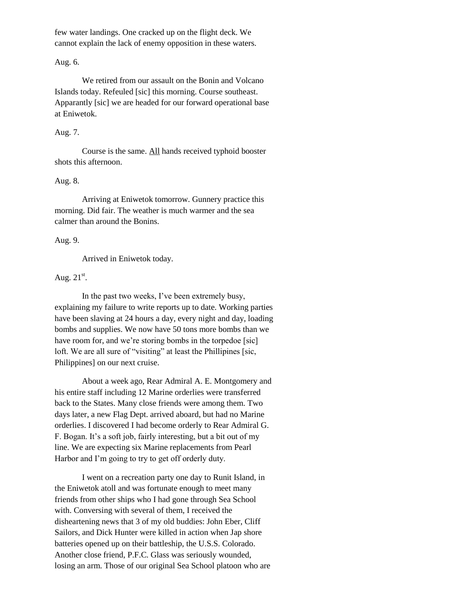few water landings. One cracked up on the flight deck. We cannot explain the lack of enemy opposition in these waters.

Aug. 6.

We retired from our assault on the Bonin and Volcano Islands today. Refeuled [sic] this morning. Course southeast. Apparantly [sic] we are headed for our forward operational base at Eniwetok.

#### Aug. 7.

Course is the same. All hands received typhoid booster shots this afternoon.

#### Aug. 8.

Arriving at Eniwetok tomorrow. Gunnery practice this morning. Did fair. The weather is much warmer and the sea calmer than around the Bonins.

#### Aug. 9.

Arrived in Eniwetok today.

## Aug.  $21<sup>st</sup>$ .

In the past two weeks, I've been extremely busy, explaining my failure to write reports up to date. Working parties have been slaving at 24 hours a day, every night and day, loading bombs and supplies. We now have 50 tons more bombs than we have room for, and we're storing bombs in the torpedoe [sic] loft. We are all sure of "visiting" at least the Phillipines [sic, Philippines] on our next cruise.

About a week ago, Rear Admiral A. E. Montgomery and his entire staff including 12 Marine orderlies were transferred back to the States. Many close friends were among them. Two days later, a new Flag Dept. arrived aboard, but had no Marine orderlies. I discovered I had become orderly to Rear Admiral G. F. Bogan. It's a soft job, fairly interesting, but a bit out of my line. We are expecting six Marine replacements from Pearl Harbor and I'm going to try to get off orderly duty.

I went on a recreation party one day to Runit Island, in the Eniwetok atoll and was fortunate enough to meet many friends from other ships who I had gone through Sea School with. Conversing with several of them, I received the disheartening news that 3 of my old buddies: John Eber, Cliff Sailors, and Dick Hunter were killed in action when Jap shore batteries opened up on their battleship, the U.S.S. Colorado. Another close friend, P.F.C. Glass was seriously wounded, losing an arm. Those of our original Sea School platoon who are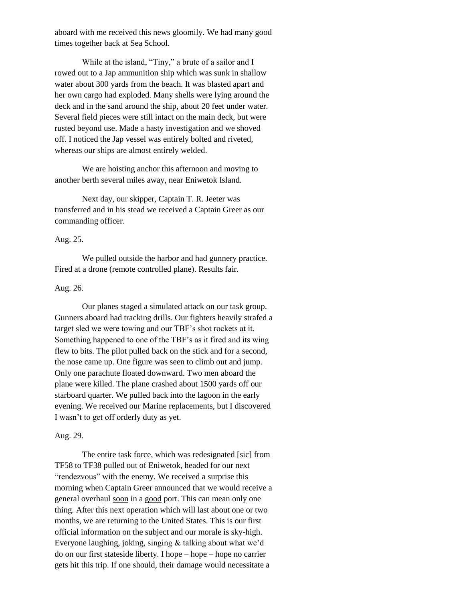aboard with me received this news gloomily. We had many good times together back at Sea School.

While at the island, "Tiny," a brute of a sailor and I rowed out to a Jap ammunition ship which was sunk in shallow water about 300 yards from the beach. It was blasted apart and her own cargo had exploded. Many shells were lying around the deck and in the sand around the ship, about 20 feet under water. Several field pieces were still intact on the main deck, but were rusted beyond use. Made a hasty investigation and we shoved off. I noticed the Jap vessel was entirely bolted and riveted, whereas our ships are almost entirely welded.

We are hoisting anchor this afternoon and moving to another berth several miles away, near Eniwetok Island.

Next day, our skipper, Captain T. R. Jeeter was transferred and in his stead we received a Captain Greer as our commanding officer.

## Aug. 25.

We pulled outside the harbor and had gunnery practice. Fired at a drone (remote controlled plane). Results fair.

## Aug. 26.

Our planes staged a simulated attack on our task group. Gunners aboard had tracking drills. Our fighters heavily strafed a target sled we were towing and our TBF's shot rockets at it. Something happened to one of the TBF's as it fired and its wing flew to bits. The pilot pulled back on the stick and for a second, the nose came up. One figure was seen to climb out and jump. Only one parachute floated downward. Two men aboard the plane were killed. The plane crashed about 1500 yards off our starboard quarter. We pulled back into the lagoon in the early evening. We received our Marine replacements, but I discovered I wasn't to get off orderly duty as yet.

#### Aug. 29.

The entire task force, which was redesignated [sic] from TF58 to TF38 pulled out of Eniwetok, headed for our next "rendezvous" with the enemy. We received a surprise this morning when Captain Greer announced that we would receive a general overhaul soon in a good port. This can mean only one thing. After this next operation which will last about one or two months, we are returning to the United States. This is our first official information on the subject and our morale is sky-high. Everyone laughing, joking, singing & talking about what we'd do on our first stateside liberty. I hope – hope – hope no carrier gets hit this trip. If one should, their damage would necessitate a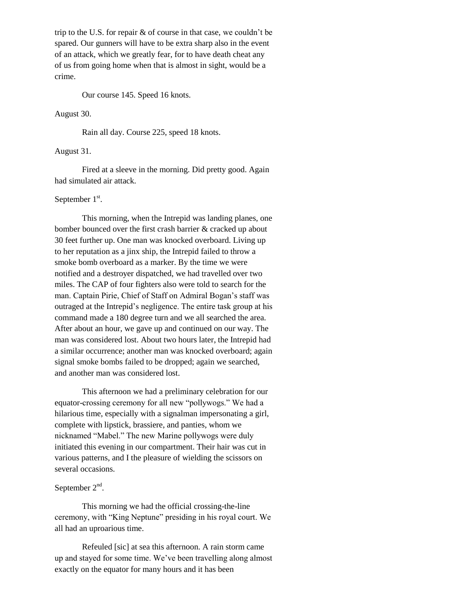trip to the U.S. for repair & of course in that case, we couldn't be spared. Our gunners will have to be extra sharp also in the event of an attack, which we greatly fear, for to have death cheat any of us from going home when that is almost in sight, would be a crime.

Our course 145. Speed 16 knots.

#### August 30.

Rain all day. Course 225, speed 18 knots.

## August 31.

Fired at a sleeve in the morning. Did pretty good. Again had simulated air attack.

## September  $1<sup>st</sup>$ .

This morning, when the Intrepid was landing planes, one bomber bounced over the first crash barrier & cracked up about 30 feet further up. One man was knocked overboard. Living up to her reputation as a jinx ship, the Intrepid failed to throw a smoke bomb overboard as a marker. By the time we were notified and a destroyer dispatched, we had travelled over two miles. The CAP of four fighters also were told to search for the man. Captain Pirie, Chief of Staff on Admiral Bogan's staff was outraged at the Intrepid's negligence. The entire task group at his command made a 180 degree turn and we all searched the area. After about an hour, we gave up and continued on our way. The man was considered lost. About two hours later, the Intrepid had a similar occurrence; another man was knocked overboard; again signal smoke bombs failed to be dropped; again we searched, and another man was considered lost.

This afternoon we had a preliminary celebration for our equator-crossing ceremony for all new "pollywogs." We had a hilarious time, especially with a signalman impersonating a girl, complete with lipstick, brassiere, and panties, whom we nicknamed "Mabel." The new Marine pollywogs were duly initiated this evening in our compartment. Their hair was cut in various patterns, and I the pleasure of wielding the scissors on several occasions.

## September  $2<sup>nd</sup>$ .

This morning we had the official crossing-the-line ceremony, with "King Neptune" presiding in his royal court. We all had an uproarious time.

Refeuled [sic] at sea this afternoon. A rain storm came up and stayed for some time. We've been travelling along almost exactly on the equator for many hours and it has been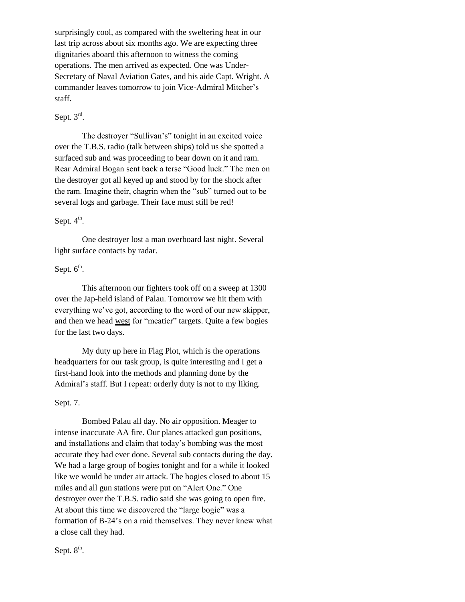surprisingly cool, as compared with the sweltering heat in our last trip across about six months ago. We are expecting three dignitaries aboard this afternoon to witness the coming operations. The men arrived as expected. One was Under-Secretary of Naval Aviation Gates, and his aide Capt. Wright. A commander leaves tomorrow to join Vice-Admiral Mitcher's staff.

## Sept.  $3^{\text{rd}}$ .

The destroyer "Sullivan's" tonight in an excited voice over the T.B.S. radio (talk between ships) told us she spotted a surfaced sub and was proceeding to bear down on it and ram. Rear Admiral Bogan sent back a terse "Good luck." The men on the destroyer got all keyed up and stood by for the shock after the ram. Imagine their, chagrin when the "sub" turned out to be several logs and garbage. Their face must still be red!

## Sept.  $4^{\text{th}}$ .

One destroyer lost a man overboard last night. Several light surface contacts by radar.

## Sept.  $6^{\text{th}}$ .

This afternoon our fighters took off on a sweep at 1300 over the Jap-held island of Palau. Tomorrow we hit them with everything we've got, according to the word of our new skipper, and then we head west for "meatier" targets. Quite a few bogies for the last two days.

My duty up here in Flag Plot, which is the operations headquarters for our task group, is quite interesting and I get a first-hand look into the methods and planning done by the Admiral's staff. But I repeat: orderly duty is not to my liking.

## Sept. 7.

Bombed Palau all day. No air opposition. Meager to intense inaccurate AA fire. Our planes attacked gun positions, and installations and claim that today's bombing was the most accurate they had ever done. Several sub contacts during the day. We had a large group of bogies tonight and for a while it looked like we would be under air attack. The bogies closed to about 15 miles and all gun stations were put on "Alert One." One destroyer over the T.B.S. radio said she was going to open fire. At about this time we discovered the "large bogie" was a formation of B-24's on a raid themselves. They never knew what a close call they had.

Sept.  $8^{\text{th}}$ .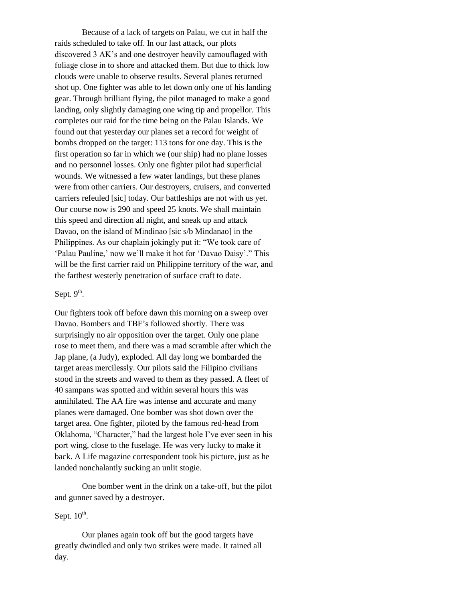Because of a lack of targets on Palau, we cut in half the raids scheduled to take off. In our last attack, our plots discovered 3 AK's and one destroyer heavily camouflaged with foliage close in to shore and attacked them. But due to thick low clouds were unable to observe results. Several planes returned shot up. One fighter was able to let down only one of his landing gear. Through brilliant flying, the pilot managed to make a good landing, only slightly damaging one wing tip and propellor. This completes our raid for the time being on the Palau Islands. We found out that yesterday our planes set a record for weight of bombs dropped on the target: 113 tons for one day. This is the first operation so far in which we (our ship) had no plane losses and no personnel losses. Only one fighter pilot had superficial wounds. We witnessed a few water landings, but these planes were from other carriers. Our destroyers, cruisers, and converted carriers refeuled [sic] today. Our battleships are not with us yet. Our course now is 290 and speed 25 knots. We shall maintain this speed and direction all night, and sneak up and attack Davao, on the island of Mindinao [sic s/b Mindanao] in the Philippines. As our chaplain jokingly put it: "We took care of 'Palau Pauline,' now we'll make it hot for 'Davao Daisy'." This will be the first carrier raid on Philippine territory of the war, and the farthest westerly penetration of surface craft to date.

## Sept.  $9<sup>th</sup>$ .

Our fighters took off before dawn this morning on a sweep over Davao. Bombers and TBF's followed shortly. There was surprisingly no air opposition over the target. Only one plane rose to meet them, and there was a mad scramble after which the Jap plane, (a Judy), exploded. All day long we bombarded the target areas mercilessly. Our pilots said the Filipino civilians stood in the streets and waved to them as they passed. A fleet of 40 sampans was spotted and within several hours this was annihilated. The AA fire was intense and accurate and many planes were damaged. One bomber was shot down over the target area. One fighter, piloted by the famous red-head from Oklahoma, "Character," had the largest hole I've ever seen in his port wing, close to the fuselage. He was very lucky to make it back. A Life magazine correspondent took his picture, just as he landed nonchalantly sucking an unlit stogie.

One bomber went in the drink on a take-off, but the pilot and gunner saved by a destroyer.

## Sept.  $10^{\text{th}}$ .

Our planes again took off but the good targets have greatly dwindled and only two strikes were made. It rained all day.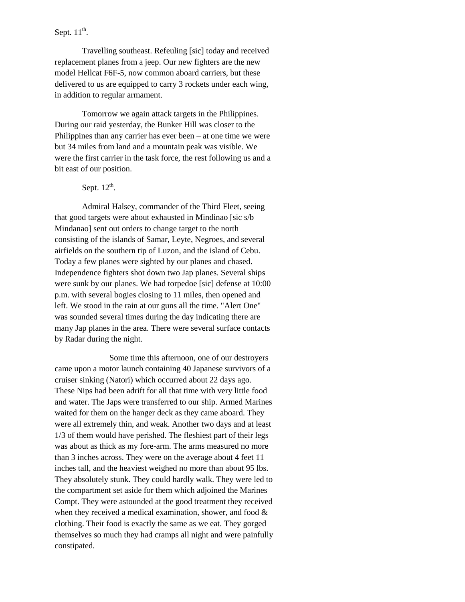## Sept.  $11^{\text{th}}$ .

Travelling southeast. Refeuling [sic] today and received replacement planes from a jeep. Our new fighters are the new model Hellcat F6F-5, now common aboard carriers, but these delivered to us are equipped to carry 3 rockets under each wing, in addition to regular armament.

Tomorrow we again attack targets in the Philippines. During our raid yesterday, the Bunker Hill was closer to the Philippines than any carrier has ever been – at one time we were but 34 miles from land and a mountain peak was visible. We were the first carrier in the task force, the rest following us and a bit east of our position.

## Sept.  $12^{\text{th}}$ .

Admiral Halsey, commander of the Third Fleet, seeing that good targets were about exhausted in Mindinao [sic s/b Mindanao] sent out orders to change target to the north consisting of the islands of Samar, Leyte, Negroes, and several airfields on the southern tip of Luzon, and the island of Cebu. Today a few planes were sighted by our planes and chased. Independence fighters shot down two Jap planes. Several ships were sunk by our planes. We had torpedoe [sic] defense at 10:00 p.m. with several bogies closing to 11 miles, then opened and left. We stood in the rain at our guns all the time. "Alert One" was sounded several times during the day indicating there are many Jap planes in the area. There were several surface contacts by Radar during the night.

Some time this afternoon, one of our destroyers came upon a motor launch containing 40 Japanese survivors of a cruiser sinking (Natori) which occurred about 22 days ago. These Nips had been adrift for all that time with very little food and water. The Japs were transferred to our ship. Armed Marines waited for them on the hanger deck as they came aboard. They were all extremely thin, and weak. Another two days and at least 1/3 of them would have perished. The fleshiest part of their legs was about as thick as my fore-arm. The arms measured no more than 3 inches across. They were on the average about 4 feet 11 inches tall, and the heaviest weighed no more than about 95 lbs. They absolutely stunk. They could hardly walk. They were led to the compartment set aside for them which adjoined the Marines Compt. They were astounded at the good treatment they received when they received a medical examination, shower, and food & clothing. Their food is exactly the same as we eat. They gorged themselves so much they had cramps all night and were painfully constipated.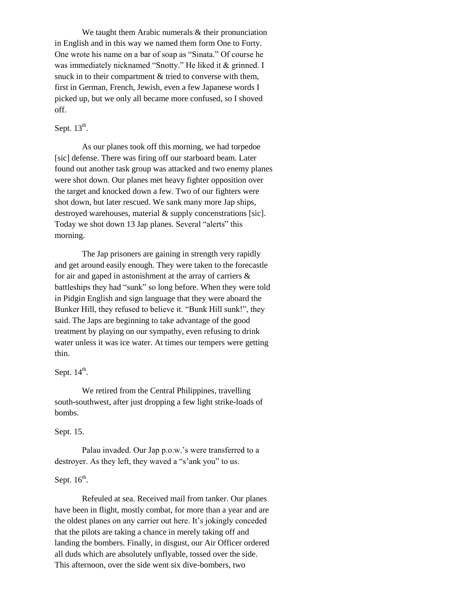We taught them Arabic numerals & their pronunciation in English and in this way we named them form One to Forty. One wrote his name on a bar of soap as "Sinata." Of course he was immediately nicknamed "Snotty." He liked it & grinned. I snuck in to their compartment & tried to converse with them, first in German, French, Jewish, even a few Japanese words I picked up, but we only all became more confused, so I shoved off.

## Sept.  $13^{\text{th}}$ .

As our planes took off this morning, we had torpedoe [sic] defense. There was firing off our starboard beam. Later found out another task group was attacked and two enemy planes were shot down. Our planes met heavy fighter opposition over the target and knocked down a few. Two of our fighters were shot down, but later rescued. We sank many more Jap ships, destroyed warehouses, material & supply concenstrations [sic]. Today we shot down 13 Jap planes. Several "alerts" this morning.

The Jap prisoners are gaining in strength very rapidly and get around easily enough. They were taken to the forecastle for air and gaped in astonishment at the array of carriers & battleships they had "sunk" so long before. When they were told in Pidgin English and sign language that they were aboard the Bunker Hill, they refused to believe it. "Bunk Hill sunk!", they said. The Japs are beginning to take advantage of the good treatment by playing on our sympathy, even refusing to drink water unless it was ice water. At times our tempers were getting thin.

## Sept.  $14<sup>th</sup>$ .

We retired from the Central Philippines, travelling south-southwest, after just dropping a few light strike-loads of bombs.

#### Sept. 15.

Palau invaded. Our Jap p.o.w.'s were transferred to a destroyer. As they left, they waved a "s'ank you" to us.

## Sept.  $16^{\text{th}}$ .

Refeuled at sea. Received mail from tanker. Our planes have been in flight, mostly combat, for more than a year and are the oldest planes on any carrier out here. It's jokingly conceded that the pilots are taking a chance in merely taking off and landing the bombers. Finally, in disgust, our Air Officer ordered all duds which are absolutely unflyable, tossed over the side. This afternoon, over the side went six dive-bombers, two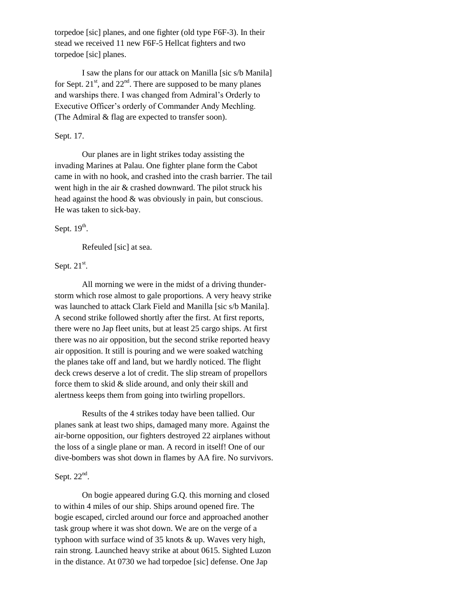torpedoe [sic] planes, and one fighter (old type F6F-3). In their stead we received 11 new F6F-5 Hellcat fighters and two torpedoe [sic] planes.

I saw the plans for our attack on Manilla [sic s/b Manila] for Sept.  $21<sup>st</sup>$ , and  $22<sup>nd</sup>$ . There are supposed to be many planes and warships there. I was changed from Admiral's Orderly to Executive Officer's orderly of Commander Andy Mechling. (The Admiral & flag are expected to transfer soon).

### Sept. 17.

Our planes are in light strikes today assisting the invading Marines at Palau. One fighter plane form the Cabot came in with no hook, and crashed into the crash barrier. The tail went high in the air & crashed downward. The pilot struck his head against the hood & was obviously in pain, but conscious. He was taken to sick-bay.

## Sept.  $19<sup>th</sup>$ .

Refeuled [sic] at sea.

## Sept.  $21^{st}$ .

All morning we were in the midst of a driving thunderstorm which rose almost to gale proportions. A very heavy strike was launched to attack Clark Field and Manilla [sic s/b Manila]. A second strike followed shortly after the first. At first reports, there were no Jap fleet units, but at least 25 cargo ships. At first there was no air opposition, but the second strike reported heavy air opposition. It still is pouring and we were soaked watching the planes take off and land, but we hardly noticed. The flight deck crews deserve a lot of credit. The slip stream of propellors force them to skid & slide around, and only their skill and alertness keeps them from going into twirling propellors.

Results of the 4 strikes today have been tallied. Our planes sank at least two ships, damaged many more. Against the air-borne opposition, our fighters destroyed 22 airplanes without the loss of a single plane or man. A record in itself! One of our dive-bombers was shot down in flames by AA fire. No survivors.

## Sept.  $22<sup>nd</sup>$ .

On bogie appeared during G.Q. this morning and closed to within 4 miles of our ship. Ships around opened fire. The bogie escaped, circled around our force and approached another task group where it was shot down. We are on the verge of a typhoon with surface wind of 35 knots & up. Waves very high, rain strong. Launched heavy strike at about 0615. Sighted Luzon in the distance. At 0730 we had torpedoe [sic] defense. One Jap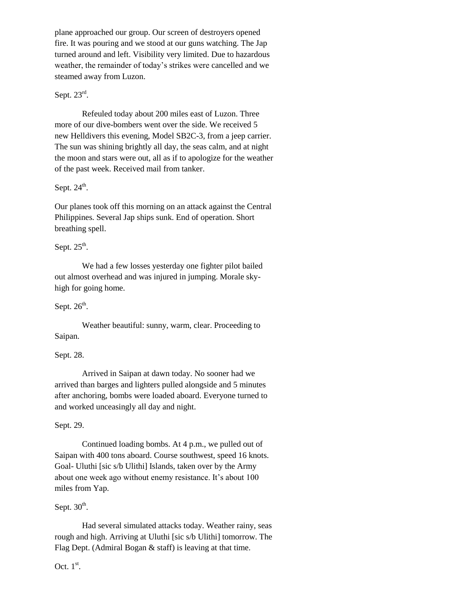plane approached our group. Our screen of destroyers opened fire. It was pouring and we stood at our guns watching. The Jap turned around and left. Visibility very limited. Due to hazardous weather, the remainder of today's strikes were cancelled and we steamed away from Luzon.

## Sept.  $23^{\text{rd}}$ .

Refeuled today about 200 miles east of Luzon. Three more of our dive-bombers went over the side. We received 5 new Helldivers this evening, Model SB2C-3, from a jeep carrier. The sun was shining brightly all day, the seas calm, and at night the moon and stars were out, all as if to apologize for the weather of the past week. Received mail from tanker.

## Sept.  $24^{\text{th}}$ .

Our planes took off this morning on an attack against the Central Philippines. Several Jap ships sunk. End of operation. Short breathing spell.

## Sept.  $25^{\text{th}}$ .

We had a few losses yesterday one fighter pilot bailed out almost overhead and was injured in jumping. Morale skyhigh for going home.

## Sept.  $26^{\text{th}}$ .

Weather beautiful: sunny, warm, clear. Proceeding to Saipan.

## Sept. 28.

Arrived in Saipan at dawn today. No sooner had we arrived than barges and lighters pulled alongside and 5 minutes after anchoring, bombs were loaded aboard. Everyone turned to and worked unceasingly all day and night.

## Sept. 29.

Continued loading bombs. At 4 p.m., we pulled out of Saipan with 400 tons aboard. Course southwest, speed 16 knots. Goal- Uluthi [sic s/b Ulithi] Islands, taken over by the Army about one week ago without enemy resistance. It's about 100 miles from Yap.

## Sept.  $30<sup>th</sup>$ .

Had several simulated attacks today. Weather rainy, seas rough and high. Arriving at Uluthi [sic s/b Ulithi] tomorrow. The Flag Dept. (Admiral Bogan & staff) is leaving at that time.

Oct.  $1^{\text{st}}$ .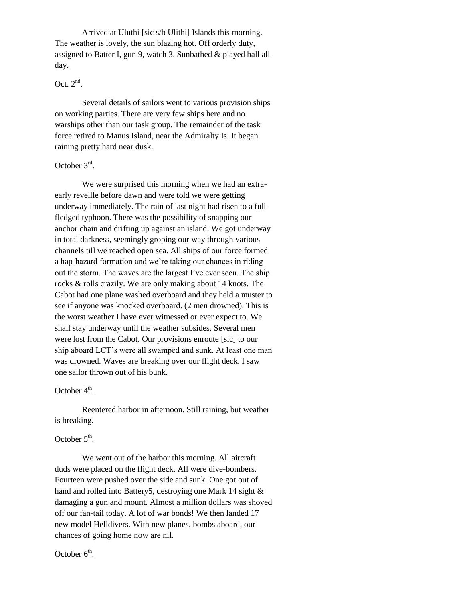Arrived at Uluthi [sic s/b Ulithi] Islands this morning. The weather is lovely, the sun blazing hot. Off orderly duty, assigned to Batter I, gun 9, watch 3. Sunbathed & played ball all day.

## Oct.  $2<sup>nd</sup>$ .

Several details of sailors went to various provision ships on working parties. There are very few ships here and no warships other than our task group. The remainder of the task force retired to Manus Island, near the Admiralty Is. It began raining pretty hard near dusk.

## October 3<sup>rd</sup>.

We were surprised this morning when we had an extraearly reveille before dawn and were told we were getting underway immediately. The rain of last night had risen to a fullfledged typhoon. There was the possibility of snapping our anchor chain and drifting up against an island. We got underway in total darkness, seemingly groping our way through various channels till we reached open sea. All ships of our force formed a hap-hazard formation and we're taking our chances in riding out the storm. The waves are the largest I've ever seen. The ship rocks & rolls crazily. We are only making about 14 knots. The Cabot had one plane washed overboard and they held a muster to see if anyone was knocked overboard. (2 men drowned). This is the worst weather I have ever witnessed or ever expect to. We shall stay underway until the weather subsides. Several men were lost from the Cabot. Our provisions enroute [sic] to our ship aboard LCT's were all swamped and sunk. At least one man was drowned. Waves are breaking over our flight deck. I saw one sailor thrown out of his bunk.

## October  $4<sup>th</sup>$ .

Reentered harbor in afternoon. Still raining, but weather is breaking.

## October  $5^{\text{th}}$ .

We went out of the harbor this morning. All aircraft duds were placed on the flight deck. All were dive-bombers. Fourteen were pushed over the side and sunk. One got out of hand and rolled into Battery5, destroying one Mark 14 sight  $\&$ damaging a gun and mount. Almost a million dollars was shoved off our fan-tail today. A lot of war bonds! We then landed 17 new model Helldivers. With new planes, bombs aboard, our chances of going home now are nil.

October  $6<sup>th</sup>$ .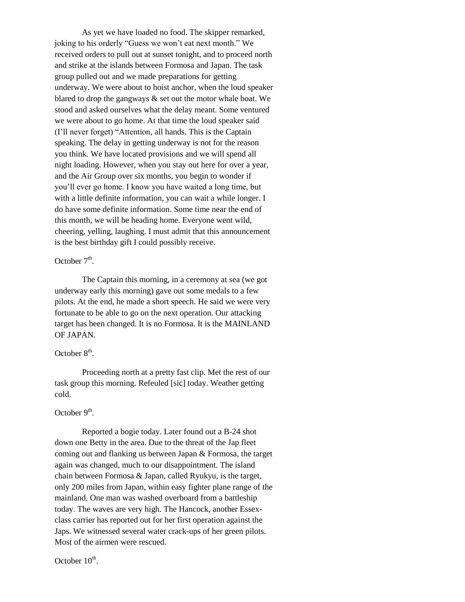As yet we have loaded no food. The skipper remarked, joking to his orderly "Guess we won't eat next month." We received orders to pull out at sunset tonight, and to proceed north and strike at the islands between Formosa and Japan. The task group pulled out and we made preparations for getting underway. We were about to hoist anchor, when the loud speaker blared to drop the gangways & set out the motor whale boat. We stood and asked ourselves what the delay meant. Some ventured we were about to go home. At that time the loud speaker said (I'll never forget) "Attention, all hands. This is the Captain speaking. The delay in getting underway is not for the reason you think. We have located provisions and we will spend all night loading. However, when you stay out here for over a year, and the Air Group over six months, you begin to wonder if you'll ever go home. I know you have waited a long time, but with a little definite information, you can wait a while longer. I do have some definite information. Some time near the end of this month, we will be heading home. Everyone went wild, cheering, yelling, laughing. I must admit that this announcement is the best birthday gift I could possibly receive.

## October  $7<sup>th</sup>$ .

The Captain this morning, in a ceremony at sea (we got underway early this morning) gave out some medals to a few pilots. At the end, he made a short speech. He said we were very fortunate to be able to go on the next operation. Our attacking target has been changed. It is no Formosa. It is the MAINLAND OF JAPAN.

## October  $8<sup>th</sup>$ .

Proceeding north at a pretty fast clip. Met the rest of our task group this morning. Refeuled [sic] today. Weather getting cold.

## October  $9<sup>th</sup>$ .

Reported a bogie today. Later found out a B-24 shot down one Betty in the area. Due to the threat of the Jap fleet coming out and flanking us between Japan & Formosa, the target again was changed, much to our disappointment. The island chain between Formosa & Japan, called Ryukyu, is the target, only 200 miles from Japan, within easy fighter plane range of the mainland. One man was washed overboard from a battleship today. The waves are very high. The Hancock, another Essexclass carrier has reported out for her first operation against the Japs. We witnessed several water crack-ups of her green pilots. Most of the airmen were rescued.

October  $10^{\text{th}}$ .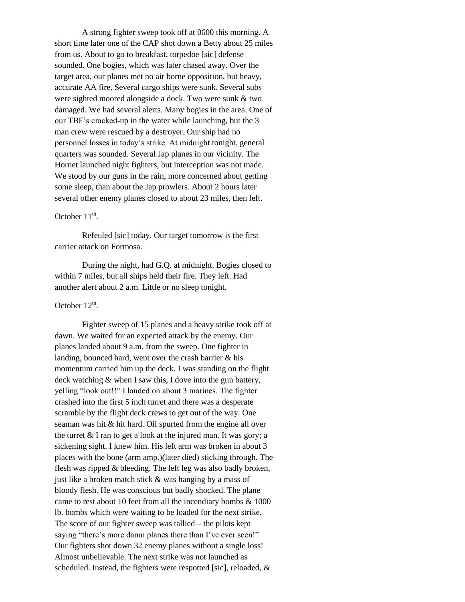A strong fighter sweep took off at 0600 this morning. A short time later one of the CAP shot down a Betty about 25 miles from us. About to go to breakfast, torpedoe [sic] defense sounded. One bogies, which was later chased away. Over the target area, our planes met no air borne opposition, but heavy, accurate AA fire. Several cargo ships were sunk. Several subs were sighted moored alongside a dock. Two were sunk & two damaged. We had several alerts. Many bogies in the area. One of our TBF's cracked-up in the water while launching, but the 3 man crew were rescued by a destroyer. Our ship had no personnel losses in today's strike. At midnight tonight, general quarters was sounded. Several Jap planes in our vicinity. The Hornet launched night fighters, but interception was not made. We stood by our guns in the rain, more concerned about getting some sleep, than about the Jap prowlers. About 2 hours later several other enemy planes closed to about 23 miles, then left.

## October  $11^{\text{th}}$ .

Refeuled [sic] today. Our target tomorrow is the first carrier attack on Formosa.

During the night, had G.Q. at midnight. Bogies closed to within 7 miles, but all ships held their fire. They left. Had another alert about 2 a.m. Little or no sleep tonight.

## October  $12^{th}$ .

Fighter sweep of 15 planes and a heavy strike took off at dawn. We waited for an expected attack by the enemy. Our planes landed about 9 a.m. from the sweep. One fighter in landing, bounced hard, went over the crash barrier & his momentum carried him up the deck. I was standing on the flight deck watching & when I saw this, I dove into the gun battery, yelling "look out!!" I landed on about 3 marines. The fighter crashed into the first 5 inch turret and there was a desperate scramble by the flight deck crews to get out of the way. One seaman was hit & hit hard. Oil spurted from the engine all over the turret  $&$  I ran to get a look at the injured man. It was gory; a sickening sight. I knew him. His left arm was broken in about 3 places with the bone (arm amp.)(later died) sticking through. The flesh was ripped & bleeding. The left leg was also badly broken, just like a broken match stick & was hanging by a mass of bloody flesh. He was conscious but badly shocked. The plane came to rest about 10 feet from all the incendiary bombs & 1000 lb. bombs which were waiting to be loaded for the next strike. The score of our fighter sweep was tallied – the pilots kept saying "there's more damn planes there than I've ever seen!" Our fighters shot down 32 enemy planes without a single loss! Almost unbelievable. The next strike was not launched as scheduled. Instead, the fighters were respotted [sic], reloaded, &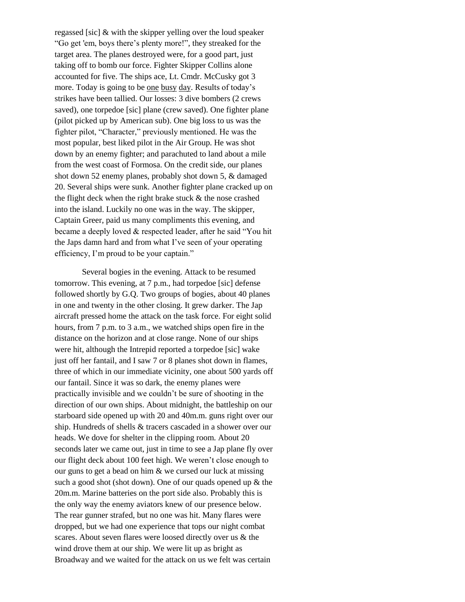regassed [sic] & with the skipper yelling over the loud speaker "Go get 'em, boys there's plenty more!", they streaked for the target area. The planes destroyed were, for a good part, just taking off to bomb our force. Fighter Skipper Collins alone accounted for five. The ships ace, Lt. Cmdr. McCusky got 3 more. Today is going to be one busy day. Results of today's strikes have been tallied. Our losses: 3 dive bombers (2 crews saved), one torpedoe [sic] plane (crew saved). One fighter plane (pilot picked up by American sub). One big loss to us was the fighter pilot, "Character," previously mentioned. He was the most popular, best liked pilot in the Air Group. He was shot down by an enemy fighter; and parachuted to land about a mile from the west coast of Formosa. On the credit side, our planes shot down 52 enemy planes, probably shot down 5, & damaged 20. Several ships were sunk. Another fighter plane cracked up on the flight deck when the right brake stuck & the nose crashed into the island. Luckily no one was in the way. The skipper, Captain Greer, paid us many compliments this evening, and became a deeply loved & respected leader, after he said "You hit the Japs damn hard and from what I've seen of your operating efficiency, I'm proud to be your captain."

Several bogies in the evening. Attack to be resumed tomorrow. This evening, at 7 p.m., had torpedoe [sic] defense followed shortly by G.Q. Two groups of bogies, about 40 planes in one and twenty in the other closing. It grew darker. The Jap aircraft pressed home the attack on the task force. For eight solid hours, from 7 p.m. to 3 a.m., we watched ships open fire in the distance on the horizon and at close range. None of our ships were hit, although the Intrepid reported a torpedoe [sic] wake just off her fantail, and I saw 7 or 8 planes shot down in flames, three of which in our immediate vicinity, one about 500 yards off our fantail. Since it was so dark, the enemy planes were practically invisible and we couldn't be sure of shooting in the direction of our own ships. About midnight, the battleship on our starboard side opened up with 20 and 40m.m. guns right over our ship. Hundreds of shells & tracers cascaded in a shower over our heads. We dove for shelter in the clipping room. About 20 seconds later we came out, just in time to see a Jap plane fly over our flight deck about 100 feet high. We weren't close enough to our guns to get a bead on him & we cursed our luck at missing such a good shot (shot down). One of our quads opened up & the 20m.m. Marine batteries on the port side also. Probably this is the only way the enemy aviators knew of our presence below. The rear gunner strafed, but no one was hit. Many flares were dropped, but we had one experience that tops our night combat scares. About seven flares were loosed directly over us & the wind drove them at our ship. We were lit up as bright as Broadway and we waited for the attack on us we felt was certain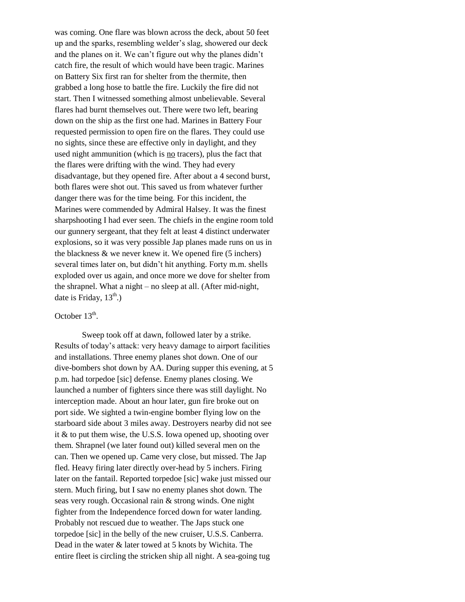was coming. One flare was blown across the deck, about 50 feet up and the sparks, resembling welder's slag, showered our deck and the planes on it. We can't figure out why the planes didn't catch fire, the result of which would have been tragic. Marines on Battery Six first ran for shelter from the thermite, then grabbed a long hose to battle the fire. Luckily the fire did not start. Then I witnessed something almost unbelievable. Several flares had burnt themselves out. There were two left, bearing down on the ship as the first one had. Marines in Battery Four requested permission to open fire on the flares. They could use no sights, since these are effective only in daylight, and they used night ammunition (which is no tracers), plus the fact that the flares were drifting with the wind. They had every disadvantage, but they opened fire. After about a 4 second burst, both flares were shot out. This saved us from whatever further danger there was for the time being. For this incident, the Marines were commended by Admiral Halsey. It was the finest sharpshooting I had ever seen. The chiefs in the engine room told our gunnery sergeant, that they felt at least 4 distinct underwater explosions, so it was very possible Jap planes made runs on us in the blackness & we never knew it. We opened fire (5 inchers) several times later on, but didn't hit anything. Forty m.m. shells exploded over us again, and once more we dove for shelter from the shrapnel. What a night – no sleep at all. (After mid-night, date is Friday,  $13^{th}$ .)

## October  $13<sup>th</sup>$ .

Sweep took off at dawn, followed later by a strike. Results of today's attack: very heavy damage to airport facilities and installations. Three enemy planes shot down. One of our dive-bombers shot down by AA. During supper this evening, at 5 p.m. had torpedoe [sic] defense. Enemy planes closing. We launched a number of fighters since there was still daylight. No interception made. About an hour later, gun fire broke out on port side. We sighted a twin-engine bomber flying low on the starboard side about 3 miles away. Destroyers nearby did not see it & to put them wise, the U.S.S. Iowa opened up, shooting over them. Shrapnel (we later found out) killed several men on the can. Then we opened up. Came very close, but missed. The Jap fled. Heavy firing later directly over-head by 5 inchers. Firing later on the fantail. Reported torpedoe [sic] wake just missed our stern. Much firing, but I saw no enemy planes shot down. The seas very rough. Occasional rain & strong winds. One night fighter from the Independence forced down for water landing. Probably not rescued due to weather. The Japs stuck one torpedoe [sic] in the belly of the new cruiser, U.S.S. Canberra. Dead in the water & later towed at 5 knots by Wichita. The entire fleet is circling the stricken ship all night. A sea-going tug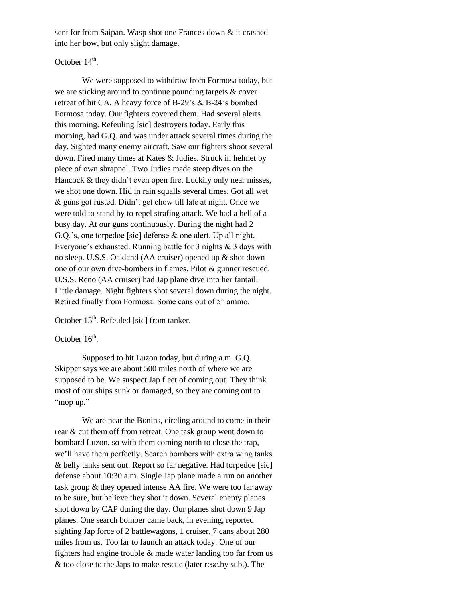sent for from Saipan. Wasp shot one Frances down & it crashed into her bow, but only slight damage.

## October  $14^{\text{th}}$ .

We were supposed to withdraw from Formosa today, but we are sticking around to continue pounding targets & cover retreat of hit CA. A heavy force of B-29's & B-24's bombed Formosa today. Our fighters covered them. Had several alerts this morning. Refeuling [sic] destroyers today. Early this morning, had G.Q. and was under attack several times during the day. Sighted many enemy aircraft. Saw our fighters shoot several down. Fired many times at Kates & Judies. Struck in helmet by piece of own shrapnel. Two Judies made steep dives on the Hancock & they didn't even open fire. Luckily only near misses, we shot one down. Hid in rain squalls several times. Got all wet & guns got rusted. Didn't get chow till late at night. Once we were told to stand by to repel strafing attack. We had a hell of a busy day. At our guns continuously. During the night had 2 G.Q.'s, one torpedoe [sic] defense & one alert. Up all night. Everyone's exhausted. Running battle for 3 nights & 3 days with no sleep. U.S.S. Oakland (AA cruiser) opened up & shot down one of our own dive-bombers in flames. Pilot & gunner rescued. U.S.S. Reno (AA cruiser) had Jap plane dive into her fantail. Little damage. Night fighters shot several down during the night. Retired finally from Formosa. Some cans out of 5" ammo.

October 15<sup>th</sup>. Refeuled [sic] from tanker.

October  $16^{\text{th}}$ .

Supposed to hit Luzon today, but during a.m. G.Q. Skipper says we are about 500 miles north of where we are supposed to be. We suspect Jap fleet of coming out. They think most of our ships sunk or damaged, so they are coming out to "mop up."

We are near the Bonins, circling around to come in their rear & cut them off from retreat. One task group went down to bombard Luzon, so with them coming north to close the trap, we'll have them perfectly. Search bombers with extra wing tanks & belly tanks sent out. Report so far negative. Had torpedoe [sic] defense about 10:30 a.m. Single Jap plane made a run on another task group & they opened intense AA fire. We were too far away to be sure, but believe they shot it down. Several enemy planes shot down by CAP during the day. Our planes shot down 9 Jap planes. One search bomber came back, in evening, reported sighting Jap force of 2 battlewagons, 1 cruiser, 7 cans about 280 miles from us. Too far to launch an attack today. One of our fighters had engine trouble & made water landing too far from us & too close to the Japs to make rescue (later resc.by sub.). The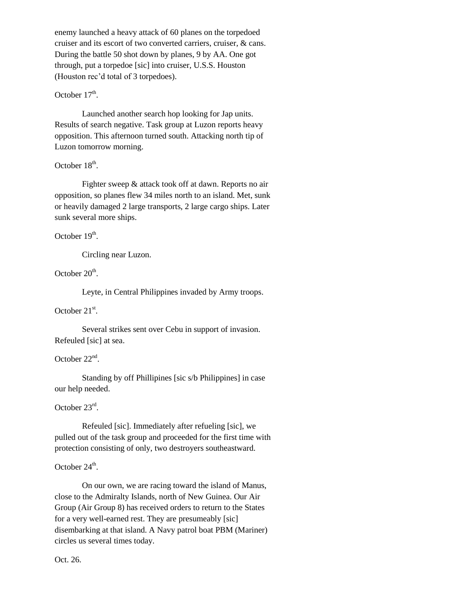enemy launched a heavy attack of 60 planes on the torpedoed cruiser and its escort of two converted carriers, cruiser, & cans. During the battle 50 shot down by planes, 9 by AA. One got through, put a torpedoe [sic] into cruiser, U.S.S. Houston (Houston rec'd total of 3 torpedoes).

## October  $17<sup>th</sup>$ .

Launched another search hop looking for Jap units. Results of search negative. Task group at Luzon reports heavy opposition. This afternoon turned south. Attacking north tip of Luzon tomorrow morning.

## October  $18<sup>th</sup>$ .

Fighter sweep & attack took off at dawn. Reports no air opposition, so planes flew 34 miles north to an island. Met, sunk or heavily damaged 2 large transports, 2 large cargo ships. Later sunk several more ships.

October  $19<sup>th</sup>$ .

Circling near Luzon.

October  $20^{\text{th}}$ .

Leyte, in Central Philippines invaded by Army troops.

October  $21^{st}$ .

Several strikes sent over Cebu in support of invasion. Refeuled [sic] at sea.

## October  $22<sup>nd</sup>$ .

Standing by off Phillipines [sic s/b Philippines] in case our help needed.

October 23rd.

Refeuled [sic]. Immediately after refueling [sic], we pulled out of the task group and proceeded for the first time with protection consisting of only, two destroyers southeastward.

## October  $24^{\text{th}}$ .

On our own, we are racing toward the island of Manus, close to the Admiralty Islands, north of New Guinea. Our Air Group (Air Group 8) has received orders to return to the States for a very well-earned rest. They are presumeably [sic] disembarking at that island. A Navy patrol boat PBM (Mariner) circles us several times today.

Oct. 26.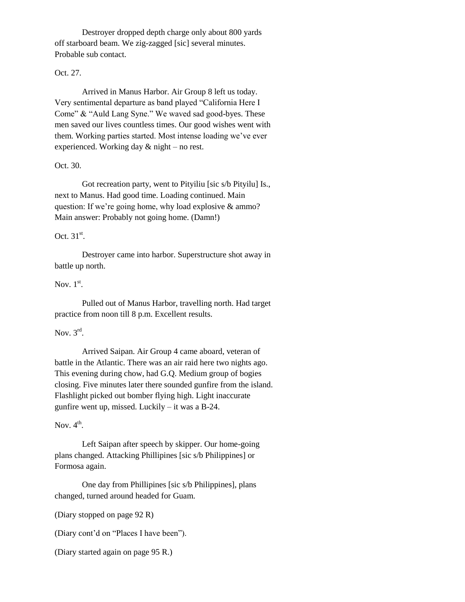Destroyer dropped depth charge only about 800 yards off starboard beam. We zig-zagged [sic] several minutes. Probable sub contact.

## Oct. 27.

Arrived in Manus Harbor. Air Group 8 left us today. Very sentimental departure as band played "California Here I Come" & "Auld Lang Syne." We waved sad good-byes. These men saved our lives countless times. Our good wishes went with them. Working parties started. Most intense loading we've ever experienced. Working day & night – no rest.

## Oct. 30.

Got recreation party, went to Pityiliu [sic s/b Pityilu] Is., next to Manus. Had good time. Loading continued. Main question: If we're going home, why load explosive & ammo? Main answer: Probably not going home. (Damn!)

## Oct.  $31<sup>st</sup>$ .

Destroyer came into harbor. Superstructure shot away in battle up north.

## Nov.  $1<sup>st</sup>$ .

Pulled out of Manus Harbor, travelling north. Had target practice from noon till 8 p.m. Excellent results.

## Nov.  $3<sup>rd</sup>$ .

Arrived Saipan. Air Group 4 came aboard, veteran of battle in the Atlantic. There was an air raid here two nights ago. This evening during chow, had G.Q. Medium group of bogies closing. Five minutes later there sounded gunfire from the island. Flashlight picked out bomber flying high. Light inaccurate gunfire went up, missed. Luckily – it was a B-24.

## Nov.  $4^{\text{th}}$ .

Left Saipan after speech by skipper. Our home-going plans changed. Attacking Phillipines [sic s/b Philippines] or Formosa again.

One day from Phillipines [sic s/b Philippines], plans changed, turned around headed for Guam.

(Diary stopped on page 92 R)

(Diary cont'd on "Places I have been").

(Diary started again on page 95 R.)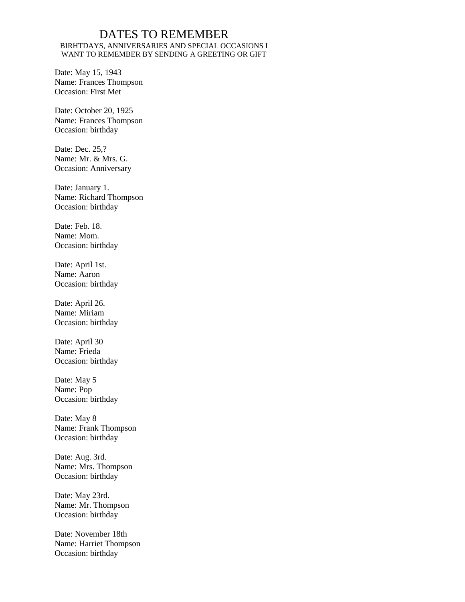## DATES TO REMEMBER BIRHTDAYS, ANNIVERSARIES AND SPECIAL OCCASIONS I WANT TO REMEMBER BY SENDING A GREETING OR GIFT

Date: May 15, 1943 Name: Frances Thompson Occasion: First Met

Date: October 20, 1925 Name: Frances Thompson Occasion: birthday

Date: Dec. 25,? Name: Mr. & Mrs. G. Occasion: Anniversary

Date: January 1. Name: Richard Thompson Occasion: birthday

Date: Feb. 18. Name: Mom. Occasion: birthday

Date: April 1st. Name: Aaron Occasion: birthday

Date: April 26. Name: Miriam Occasion: birthday

Date: April 30 Name: Frieda Occasion: birthday

Date: May 5 Name: Pop Occasion: birthday

Date: May 8 Name: Frank Thompson Occasion: birthday

Date: Aug. 3rd. Name: Mrs. Thompson Occasion: birthday

Date: May 23rd. Name: Mr. Thompson Occasion: birthday

Date: November 18th Name: Harriet Thompson Occasion: birthday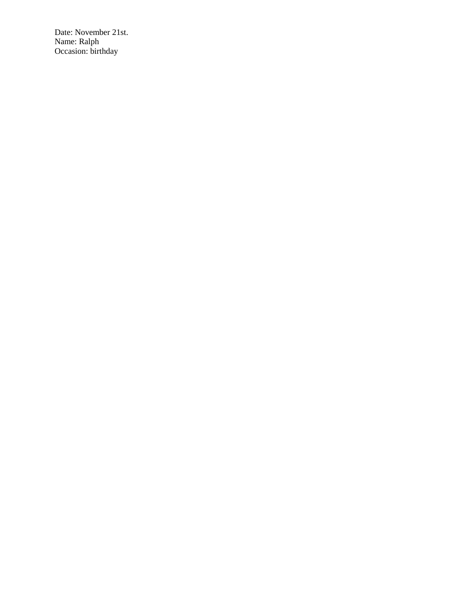Date: November 21st. Name: Ralph Occasion: birthday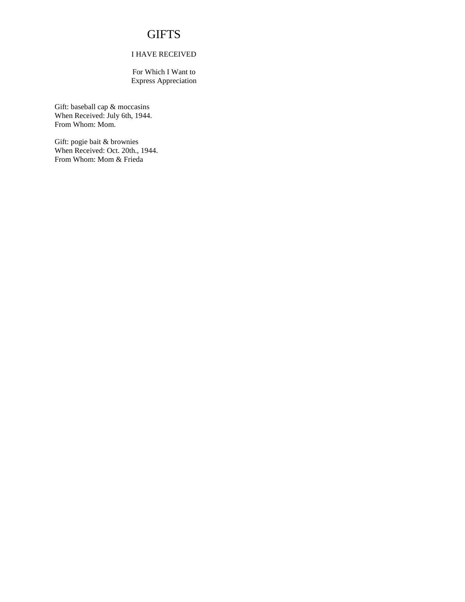## **GIFTS**

### I HAVE RECEIVED

For Which I Want to Express Appreciation

Gift: baseball cap & moccasins When Received: July 6th, 1944. From Whom: Mom.

Gift: pogie bait & brownies When Received: Oct. 20th., 1944. From Whom: Mom & Frieda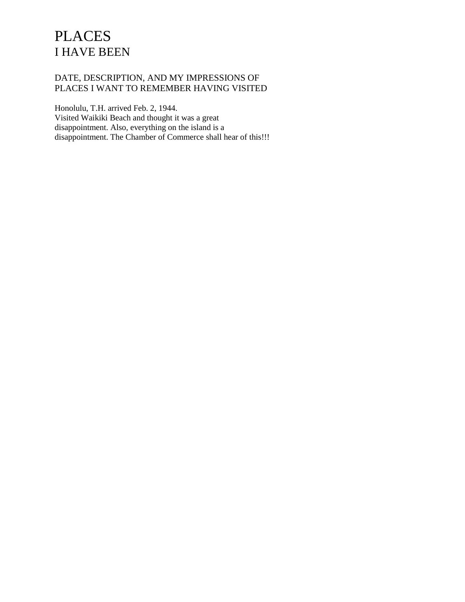# **PLACES** I HAVE BEEN

## DATE, DESCRIPTION, AND MY IMPRESSIONS OF PLACES I WANT TO REMEMBER HAVING VISITED

Honolulu, T.H. arrived Feb. 2, 1944. Visited Waikiki Beach and thought it was a great disappointment. Also, everything on the island is a disappointment. The Chamber of Commerce shall hear of this!!!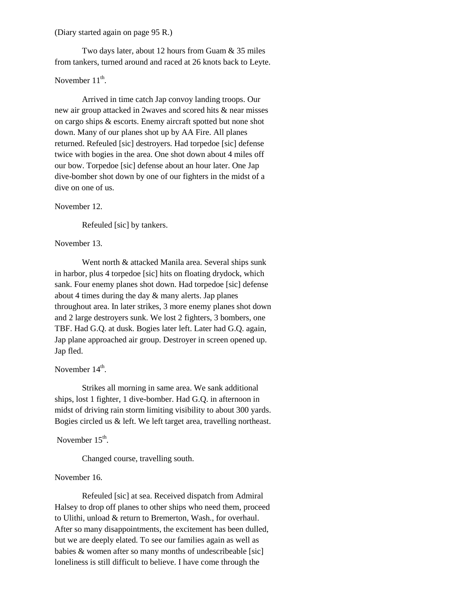#### (Diary started again on page 95 R.)

Two days later, about 12 hours from Guam & 35 miles from tankers, turned around and raced at 26 knots back to Leyte.

## November  $11<sup>th</sup>$ .

Arrived in time catch Jap convoy landing troops. Our new air group attacked in 2waves and scored hits & near misses on cargo ships & escorts. Enemy aircraft spotted but none shot down. Many of our planes shot up by AA Fire. All planes returned. Refeuled [sic] destroyers. Had torpedoe [sic] defense twice with bogies in the area. One shot down about 4 miles off our bow. Torpedoe [sic] defense about an hour later. One Jap dive-bomber shot down by one of our fighters in the midst of a dive on one of us.

#### November 12.

Refeuled [sic] by tankers.

#### November 13.

Went north & attacked Manila area. Several ships sunk in harbor, plus 4 torpedoe [sic] hits on floating drydock, which sank. Four enemy planes shot down. Had torpedoe [sic] defense about 4 times during the day & many alerts. Jap planes throughout area. In later strikes, 3 more enemy planes shot down and 2 large destroyers sunk. We lost 2 fighters, 3 bombers, one TBF. Had G.Q. at dusk. Bogies later left. Later had G.Q. again, Jap plane approached air group. Destroyer in screen opened up. Jap fled.

## November  $14<sup>th</sup>$ .

Strikes all morning in same area. We sank additional ships, lost 1 fighter, 1 dive-bomber. Had G.Q. in afternoon in midst of driving rain storm limiting visibility to about 300 yards. Bogies circled us & left. We left target area, travelling northeast.

November  $15<sup>th</sup>$ .

Changed course, travelling south.

## November 16.

Refeuled [sic] at sea. Received dispatch from Admiral Halsey to drop off planes to other ships who need them, proceed to Ulithi, unload & return to Bremerton, Wash., for overhaul. After so many disappointments, the excitement has been dulled, but we are deeply elated. To see our families again as well as babies & women after so many months of undescribeable [sic] loneliness is still difficult to believe. I have come through the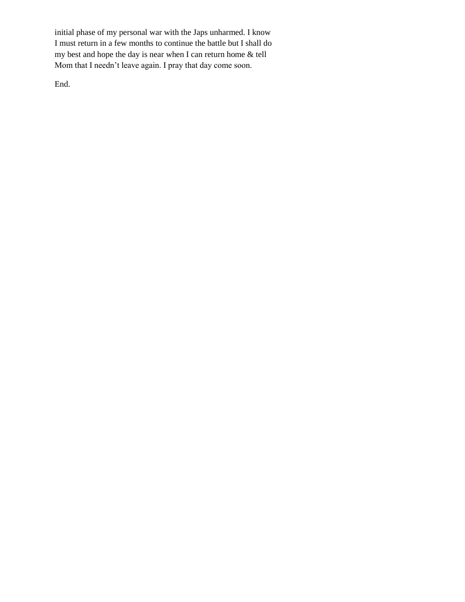initial phase of my personal war with the Japs unharmed. I know I must return in a few months to continue the battle but I shall do my best and hope the day is near when I can return home & tell Mom that I needn't leave again. I pray that day come soon.

End.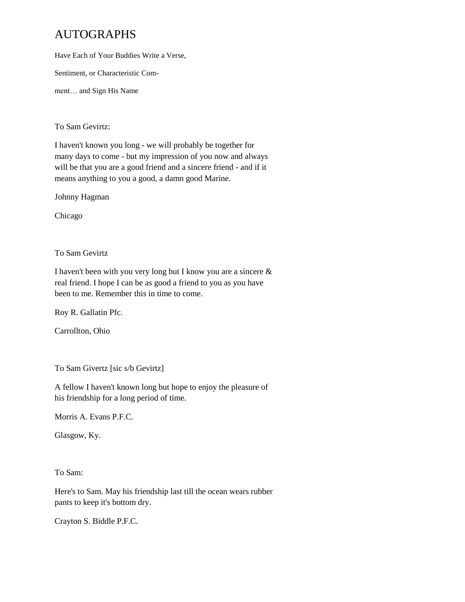## AUTOGRAPHS

Have Each of Your Buddies Write a Verse,

Sentiment, or Characteristic Com-

ment… and Sign His Name

To Sam Gevirtz:

I haven't known you long - we will probably be together for many days to come - but my impression of you now and always will be that you are a good friend and a sincere friend - and if it means anything to you a good, a damn good Marine.

Johnny Hagman

Chicago

To Sam Gevirtz

I haven't been with you very long but I know you are a sincere & real friend. I hope I can be as good a friend to you as you have been to me. Remember this in time to come.

Roy R. Gallatin Pfc.

Carrollton, Ohio

To Sam Givertz [sic s/b Gevirtz]

A fellow I haven't known long but hope to enjoy the pleasure of his friendship for a long period of time.

Morris A. Evans P.F.C.

Glasgow, Ky.

To Sam:

Here's to Sam. May his friendship last till the ocean wears rubber pants to keep it's bottom dry.

Crayton S. Biddle P.F.C.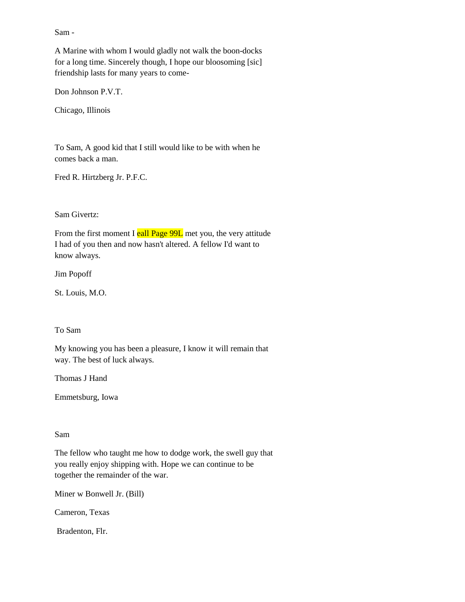Sam -

A Marine with whom I would gladly not walk the boon-docks for a long time. Sincerely though, I hope our bloosoming [sic] friendship lasts for many years to come-

Don Johnson P.V.T.

Chicago, Illinois

To Sam, A good kid that I still would like to be with when he comes back a man.

Fred R. Hirtzberg Jr. P.F.C.

Sam Givertz:

From the first moment I eall Page 99L met you, the very attitude I had of you then and now hasn't altered. A fellow I'd want to know always.

Jim Popoff

St. Louis, M.O.

To Sam

My knowing you has been a pleasure, I know it will remain that way. The best of luck always.

Thomas J Hand

Emmetsburg, Iowa

## Sam

The fellow who taught me how to dodge work, the swell guy that you really enjoy shipping with. Hope we can continue to be together the remainder of the war.

Miner w Bonwell Jr. (Bill)

Cameron, Texas

Bradenton, Flr.